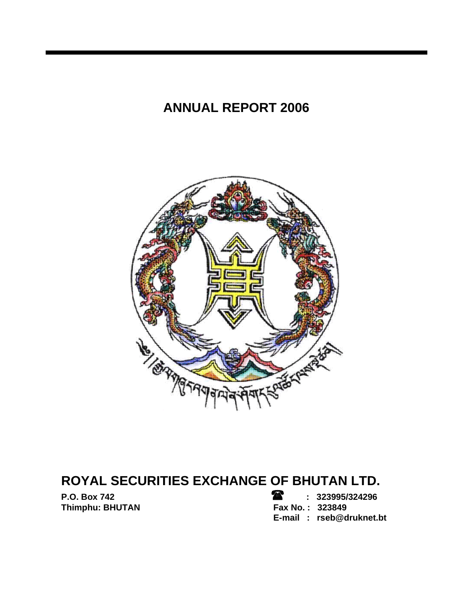# **ANNUAL REPORT 2006**



# **ROYAL SECURITIES EXCHANGE OF BHUTAN LTD.**

Thimphu: BHUTAN **Fax No. : 323849** 

**P.O. Box 742 : 323995/324296** 

 **E-mail : rseb@druknet.bt**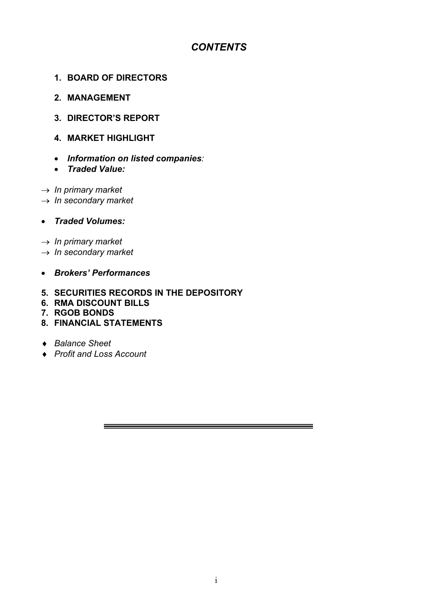# *CONTENTS*

- **1. BOARD OF DIRECTORS**
- **2. MANAGEMENT**
- **3. DIRECTOR'S REPORT**
- **4. MARKET HIGHLIGHT**
- *Information on listed companies:*
- *Traded Value:*
- → *In primary market*
- → *In secondary market*
- *Traded Volumes:*
- → *In primary market*
- → *In secondary market*
- *Brokers' Performances*
- **5. SECURITIES RECORDS IN THE DEPOSITORY**
- **6. RMA DISCOUNT BILLS**
- **7. RGOB BONDS**
- **8. FINANCIAL STATEMENTS**
- ♦ *Balance Sheet*
- ♦ *Profit and Loss Account*

<u> Tanzania de la contrada de la contrada de la contrada de la contrada de la contrada de la contrada de la con</u>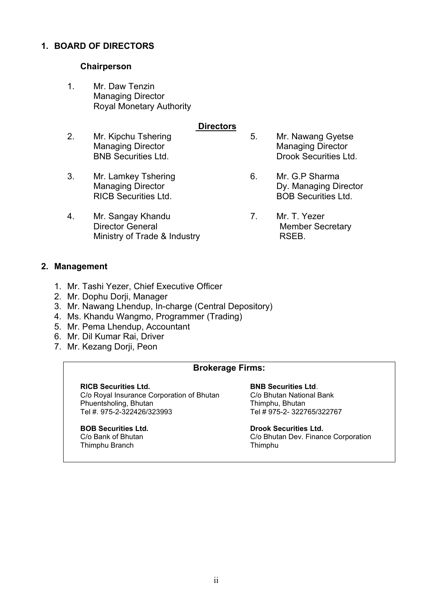#### **1. BOARD OF DIRECTORS**

#### **Chairperson**

1. Mr. Daw Tenzin Managing Director Royal Monetary Authority

#### **Directors**

- 2. Mr. Kipchu Tshering 6. Mr. Nawang Gyetse
- 3. Mr. Lamkey Tshering **6.** Mr. G.P Sharma
- 4. Mr. Sangay Khandu 7. Mr. T. Yezer Director General Member Secretary Ministry of Trade & Industry *RSEB.*
- Managing Director Managing Director BNB Securities Ltd. Drook Securities Ltd.
- Managing Director **Dy. Managing Director** RICB Securities Ltd. 6. BOB Securities Ltd.
	-

#### **2. Management**

- 1. Mr. Tashi Yezer, Chief Executive Officer
- 2. Mr. Dophu Dorji, Manager
- 3. Mr. Nawang Lhendup, In-charge (Central Depository)
- 4. Ms. Khandu Wangmo, Programmer (Trading)
- 5. Mr. Pema Lhendup, Accountant
- 6. Mr. Dil Kumar Rai, Driver
- 7. Mr. Kezang Dorji, Peon

#### **Brokerage Firms:**

C/o Royal Insurance Corporation of Bhutan C/o Bhutan National Bank Phuentsholing, Bhutan Thimphu, Bhutan Thimphu, Bhutan Tel #. 975-2-322426/323993 Tel # 975-2- 322765/322767

# **BOB Securities Ltd.**<br>
C/o Bank of Bhutan<br>
C/o Bhutan Dev. Finance

Thimphu Branch Thimphu

#### **RICB Securities Ltd. BNB Securities Ltd**.

C/o Bhutan Dev. Finance Corporation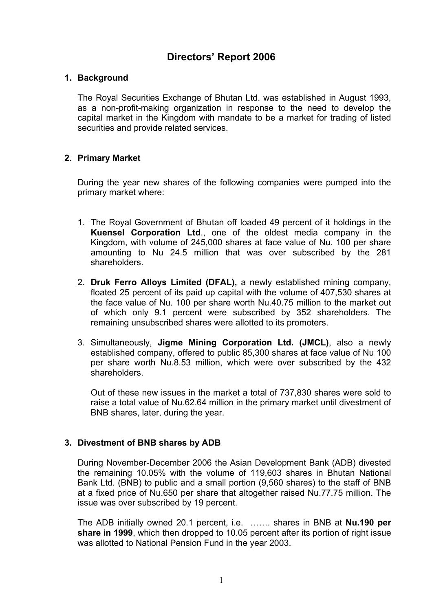## **Directors' Report 2006**

#### **1. Background**

The Royal Securities Exchange of Bhutan Ltd. was established in August 1993, as a non-profit-making organization in response to the need to develop the capital market in the Kingdom with mandate to be a market for trading of listed securities and provide related services.

### **2. Primary Market**

During the year new shares of the following companies were pumped into the primary market where:

- 1. The Royal Government of Bhutan off loaded 49 percent of it holdings in the **Kuensel Corporation Ltd**., one of the oldest media company in the Kingdom, with volume of 245,000 shares at face value of Nu. 100 per share amounting to Nu 24.5 million that was over subscribed by the 281 shareholders.
- 2. **Druk Ferro Alloys Limited (DFAL),** a newly established mining company, floated 25 percent of its paid up capital with the volume of 407,530 shares at the face value of Nu. 100 per share worth Nu.40.75 million to the market out of which only 9.1 percent were subscribed by 352 shareholders. The remaining unsubscribed shares were allotted to its promoters.
- 3. Simultaneously, **Jigme Mining Corporation Ltd. (JMCL)**, also a newly established company, offered to public 85,300 shares at face value of Nu 100 per share worth Nu.8.53 million, which were over subscribed by the 432 shareholders.

Out of these new issues in the market a total of 737,830 shares were sold to raise a total value of Nu.62.64 million in the primary market until divestment of BNB shares, later, during the year.

#### **3. Divestment of BNB shares by ADB**

During November-December 2006 the Asian Development Bank (ADB) divested the remaining 10.05% with the volume of 119,603 shares in Bhutan National Bank Ltd. (BNB) to public and a small portion (9,560 shares) to the staff of BNB at a fixed price of Nu.650 per share that altogether raised Nu.77.75 million. The issue was over subscribed by 19 percent.

The ADB initially owned 20.1 percent, i.e. ……. shares in BNB at **Nu.190 per share in 1999**, which then dropped to 10.05 percent after its portion of right issue was allotted to National Pension Fund in the year 2003.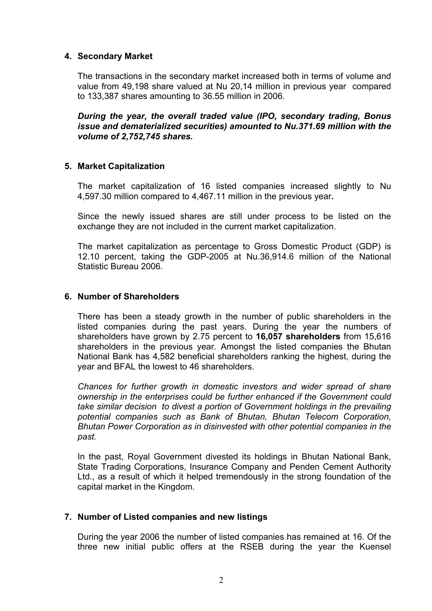#### **4. Secondary Market**

The transactions in the secondary market increased both in terms of volume and value from 49,198 share valued at Nu 20,14 million in previous year compared to 133,387 shares amounting to 36.55 million in 2006.

*During the year, the overall traded value (IPO, secondary trading, Bonus issue and dematerialized securities) amounted to Nu.371.69 million with the volume of 2,752,745 shares.* 

#### **5. Market Capitalization**

The market capitalization of 16 listed companies increased slightly to Nu 4,597.30 million compared to 4,467.11 million in the previous year**.** 

Since the newly issued shares are still under process to be listed on the exchange they are not included in the current market capitalization.

The market capitalization as percentage to Gross Domestic Product (GDP) is 12.10 percent, taking the GDP-2005 at Nu.36,914.6 million of the National Statistic Bureau 2006.

#### **6. Number of Shareholders**

There has been a steady growth in the number of public shareholders in the listed companies during the past years. During the year the numbers of shareholders have grown by 2.75 percent to **16,057 shareholders** from 15,616 shareholders in the previous year*.* Amongst the listed companies the Bhutan National Bank has 4,582 beneficial shareholders ranking the highest, during the year and BFAL the lowest to 46 shareholders.

*Chances for further growth in domestic investors and wider spread of share ownership in the enterprises could be further enhanced if the Government could take similar decision to divest a portion of Government holdings in the prevailing potential companies such as Bank of Bhutan, Bhutan Telecom Corporation, Bhutan Power Corporation as in disinvested with other potential companies in the past.* 

In the past, Royal Government divested its holdings in Bhutan National Bank, State Trading Corporations, Insurance Company and Penden Cement Authority Ltd., as a result of which it helped tremendously in the strong foundation of the capital market in the Kingdom.

#### **7. Number of Listed companies and new listings**

During the year 2006 the number of listed companies has remained at 16. Of the three new initial public offers at the RSEB during the year the Kuensel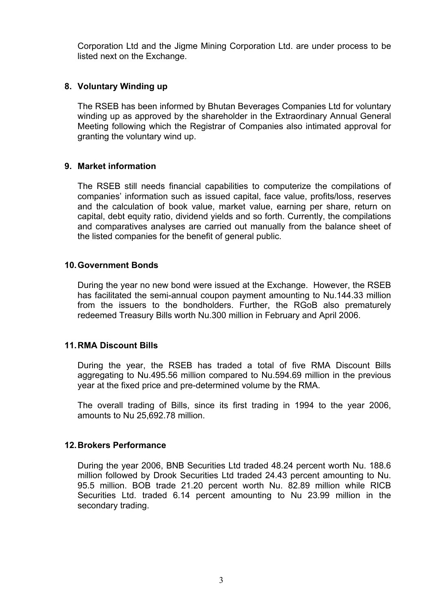Corporation Ltd and the Jigme Mining Corporation Ltd. are under process to be listed next on the Exchange.

#### **8. Voluntary Winding up**

The RSEB has been informed by Bhutan Beverages Companies Ltd for voluntary winding up as approved by the shareholder in the Extraordinary Annual General Meeting following which the Registrar of Companies also intimated approval for granting the voluntary wind up.

#### **9. Market information**

The RSEB still needs financial capabilities to computerize the compilations of companies' information such as issued capital, face value, profits/loss, reserves and the calculation of book value, market value, earning per share, return on capital, debt equity ratio, dividend yields and so forth. Currently, the compilations and comparatives analyses are carried out manually from the balance sheet of the listed companies for the benefit of general public.

#### **10. Government Bonds**

During the year no new bond were issued at the Exchange. However, the RSEB has facilitated the semi-annual coupon payment amounting to Nu.144.33 million from the issuers to the bondholders. Further, the RGoB also prematurely redeemed Treasury Bills worth Nu.300 million in February and April 2006.

#### **11. RMA Discount Bills**

During the year, the RSEB has traded a total of five RMA Discount Bills aggregating to Nu.495.56 million compared to Nu.594.69 million in the previous year at the fixed price and pre-determined volume by the RMA.

The overall trading of Bills, since its first trading in 1994 to the year 2006, amounts to Nu 25,692.78 million.

#### **12. Brokers Performance**

During the year 2006, BNB Securities Ltd traded 48.24 percent worth Nu. 188.6 million followed by Drook Securities Ltd traded 24.43 percent amounting to Nu. 95.5 million. BOB trade 21.20 percent worth Nu. 82.89 million while RICB Securities Ltd. traded 6.14 percent amounting to Nu 23.99 million in the secondary trading.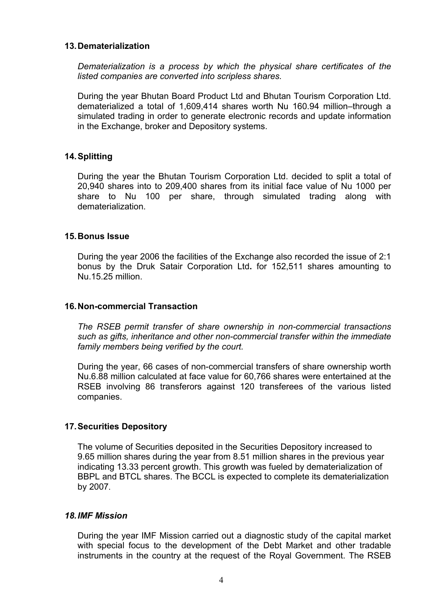#### **13. Dematerialization**

*Dematerialization is a process by which the physical share certificates of the listed companies are converted into scripless shares.* 

During the year Bhutan Board Product Ltd and Bhutan Tourism Corporation Ltd. dematerialized a total of 1,609,414 shares worth Nu 160.94 million–through a simulated trading in order to generate electronic records and update information in the Exchange, broker and Depository systems.

#### **14. Splitting**

During the year the Bhutan Tourism Corporation Ltd. decided to split a total of 20,940 shares into to 209,400 shares from its initial face value of Nu 1000 per share to Nu 100 per share, through simulated trading along with dematerialization.

#### **15. Bonus Issue**

During the year 2006 the facilities of the Exchange also recorded the issue of 2:1 bonus by the Druk Satair Corporation Ltd**.** for 152,511 shares amounting to Nu.15.25 million.

#### **16. Non-commercial Transaction**

*The RSEB permit transfer of share ownership in non-commercial transactions such as gifts, inheritance and other non-commercial transfer within the immediate family members being verified by the court.* 

During the year, 66 cases of non-commercial transfers of share ownership worth Nu.6.88 million calculated at face value for 60,766 shares were entertained at the RSEB involving 86 transferors against 120 transferees of the various listed companies.

#### **17. Securities Depository**

The volume of Securities deposited in the Securities Depository increased to 9.65 million shares during the year from 8.51 million shares in the previous year indicating 13.33 percent growth. This growth was fueled by dematerialization of BBPL and BTCL shares. The BCCL is expected to complete its dematerialization by 2007.

#### *18. IMF Mission*

During the year IMF Mission carried out a diagnostic study of the capital market with special focus to the development of the Debt Market and other tradable instruments in the country at the request of the Royal Government. The RSEB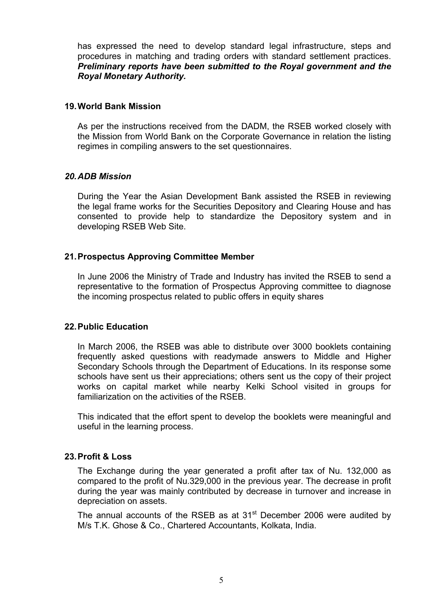has expressed the need to develop standard legal infrastructure, steps and procedures in matching and trading orders with standard settlement practices. *Preliminary reports have been submitted to the Royal government and the Royal Monetary Authority.* 

#### **19. World Bank Mission**

As per the instructions received from the DADM, the RSEB worked closely with the Mission from World Bank on the Corporate Governance in relation the listing regimes in compiling answers to the set questionnaires.

#### *20. ADB Mission*

During the Year the Asian Development Bank assisted the RSEB in reviewing the legal frame works for the Securities Depository and Clearing House and has consented to provide help to standardize the Depository system and in developing RSEB Web Site.

#### **21. Prospectus Approving Committee Member**

In June 2006 the Ministry of Trade and Industry has invited the RSEB to send a representative to the formation of Prospectus Approving committee to diagnose the incoming prospectus related to public offers in equity shares

#### **22. Public Education**

In March 2006, the RSEB was able to distribute over 3000 booklets containing frequently asked questions with readymade answers to Middle and Higher Secondary Schools through the Department of Educations. In its response some schools have sent us their appreciations; others sent us the copy of their project works on capital market while nearby Kelki School visited in groups for familiarization on the activities of the RSEB.

This indicated that the effort spent to develop the booklets were meaningful and useful in the learning process.

#### **23. Profit & Loss**

The Exchange during the year generated a profit after tax of Nu. 132,000 as compared to the profit of Nu.329,000 in the previous year. The decrease in profit during the year was mainly contributed by decrease in turnover and increase in depreciation on assets.

The annual accounts of the RSEB as at  $31<sup>st</sup>$  December 2006 were audited by M/s T.K. Ghose & Co., Chartered Accountants, Kolkata, India.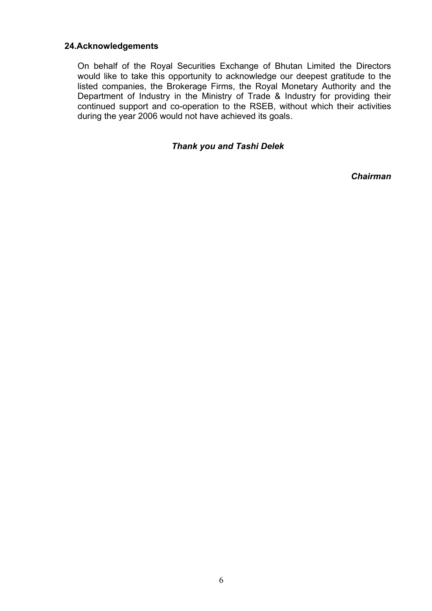#### **24.Acknowledgements**

On behalf of the Royal Securities Exchange of Bhutan Limited the Directors would like to take this opportunity to acknowledge our deepest gratitude to the listed companies, the Brokerage Firms, the Royal Monetary Authority and the Department of Industry in the Ministry of Trade & Industry for providing their continued support and co-operation to the RSEB, without which their activities during the year 2006 would not have achieved its goals.

#### *Thank you and Tashi Delek*

*Chairman*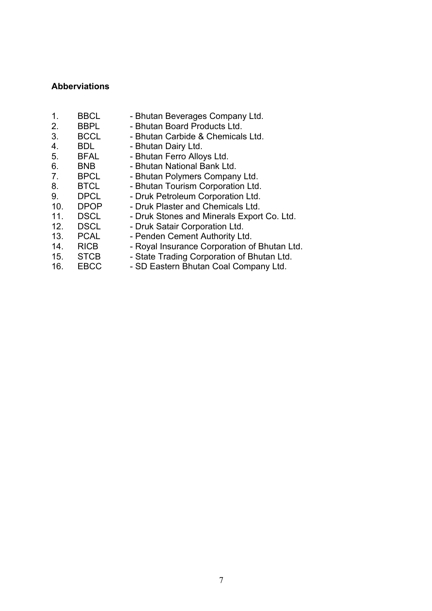## **Abberviations**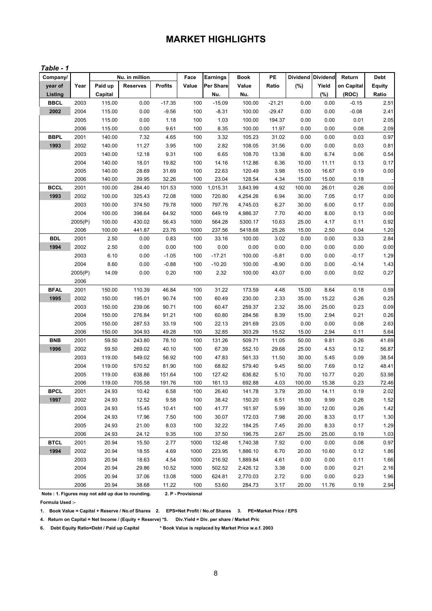# **MARKET HIGHLIGHTS**

#### *Table - 1*

| Company/    |              |                  | Nu. in million   |                  | Face       | <b>Earnings</b>  | Book             | PE           | Dividend Dividend |                | Return       | <b>Debt</b>    |
|-------------|--------------|------------------|------------------|------------------|------------|------------------|------------------|--------------|-------------------|----------------|--------------|----------------|
| year of     | Year         | Paid up          | <b>Reserves</b>  | <b>Profits</b>   | Value      | Per Share        | Value            | Ratio        | (%)               | Yield          | on Capital   | Equity         |
| Listing     |              | Capital          |                  |                  |            | Nu.              | Nu.              |              |                   | (%)            | (ROC)        | Ratio          |
| <b>BBCL</b> | 2003         | 115.00           | 0.00             | $-17.35$         | 100        | $-15.09$         | 100.00           | $-21.21$     | 0.00              | 0.00           | $-0.15$      | 2.51           |
| 2002        | 2004         | 115.00           | 0.00             | $-9.56$          | 100        | $-8.31$          | 100.00           | $-29.47$     | 0.00              | 0.00           | $-0.08$      | 2.41           |
|             | 2005         | 115.00           | 0.00             | 1.18             | 100        | 1.03             | 100.00           | 194.37       | 0.00              | 0.00           | 0.01         | 2.05           |
|             | 2006         | 115.00           | 0.00             | 9.61             | 100        | 8.35             | 100.00           | 11.97        | 0.00              | 0.00           | 0.08         | 2.09           |
| <b>BBPL</b> | 2001         | 140.00           | 7.32             | 4.65             | 100        | 3.32             | 105.23           | 31.02        | 0.00              | 0.00           | 0.03         | 0.97           |
| 1993        | 2002         | 140.00           | 11.27            | 3.95             | 100        | 2.82             | 108.05           | 31.56        | 0.00              | 0.00           | 0.03         | 0.81           |
|             | 2003         | 140.00           | 12.18            | 9.31             | 100        | 6.65             | 108.70           | 13.38        | 6.00              | 6.74           | 0.06         | 0.54           |
|             | 2004         | 140.00           | 18.01            | 19.82            | 100        | 14.16            | 112.86           | 6.36         | 10.00             | 11.11          | 0.13         | 0.17           |
|             | 2005         | 140.00           | 28.69            | 31.69            | 100        | 22.63            | 120.49           | 3.98         | 15.00             | 16.67          | 0.19         | 0.00           |
|             | 2006         | 140.00           | 39.95            | 32.26            | 100        | 23.04            | 128.54           | 4.34         | 15.00             | 15.00          | 0.18         |                |
| <b>BCCL</b> | 2001         | 100.00           | 284.40           | 101.53           | 1000       | 1,015.31         | 3,843.99         | 4.92         | 100.00            | 26.01          | 0.26         | 0.00           |
| 1993        | 2002         | 100.00           | 325.43           | 72.08            | 1000       | 720.80           | 4,254.26         | 6.94         | 30.00             | 7.05           | 0.17         | 0.00           |
|             | 2003         | 100.00           | 374.50           | 79.78            | 1000       | 797.76           | 4,745.03         | 6.27         | 30.00             | 6.00           | 0.17         | 0.00           |
|             | 2004         | 100.00           | 398.64           | 64.92            | 1000       | 649.19           | 4,986.37         | 7.70         | 40.00             | 8.00           | 0.13         | 0.00           |
|             | 2005(P)      | 100.00           | 430.02           | 56.43            | 1000       | 564.28           | 5300.17          | 10.63        | 25.00             | 4.17           | 0.11         | 0.92           |
|             | 2006         | 100.00           | 441.87           | 23.76            | 1000       | 237.56           | 5418.68          | 25.26        | 15.00             | 2.50           | 0.04         | 1.20           |
| <b>BDL</b>  | 2001         | 2.50             | 0.00             | 0.83             | 100        | 33.16            | 100.00           | 3.02         | 0.00              | 0.00           | 0.33         | 2.84           |
| 1994        | 2002         | 2.50             | 0.00             | 0.00             | 100        | 0.00             | 0.00             | 0.00         | 0.00              | 0.00           | 0.00         | 0.00           |
|             | 2003         | 6.10             | 0.00             | $-1.05$          | 100        | $-17.21$         | 100.00           | $-5.81$      | 0.00              | 0.00           | $-0.17$      | 1.29           |
|             | 2004         | 8.60             | 0.00             | $-0.88$          | 100        | $-10.20$         | 100.00           | $-8.90$      | 0.00              | 0.00           | $-0.14$      | 1.43           |
|             | 2005(P)      | 14.09            | 0.00             | 0.20             | 100        | 2.32             | 100.00           | 43.07        | 0.00              | 0.00           | 0.02         | 0.27           |
|             | 2006         |                  |                  |                  |            |                  |                  |              |                   |                |              |                |
| <b>BFAL</b> | 2001         | 150.00           | 110.39           | 46.84            | 100        | 31.22            | 173.59           | 4.48         | 15.00             | 8.64           | 0.18         | 0.59           |
| 1995        | 2002         | 150.00           | 195.01           | 90.74            | 100        | 60.49            | 230.00           | 2.33         | 35.00             | 15.22          | 0.26         | 0.25           |
|             | 2003         | 150.00           | 239.06           | 90.71            | 100        | 60.47            | 259.37           | 2.32         | 35.00             | 25.00          | 0.23         | 0.09           |
|             | 2004         | 150.00           | 276.84           | 91.21            | 100        | 60.80            | 284.56           | 8.39         | 15.00             | 2.94           | 0.21         | 0.26           |
|             | 2005         | 150.00           | 287.53           | 33.19            | 100        | 22.13            | 291.69           | 23.05        | 0.00              | 0.00           | 0.08         | 2.63           |
|             | 2006         | 150.00           | 304.93           | 49.28            | 100        | 32.85            | 303.29           | 15.52        | 15.00             | 2.94           | 0.11         | 5.64           |
| <b>BNB</b>  | 2001         | 59.50            | 243.80           | 78.10            | 100        | 131.26           | 509.71           | 11.05        | 50.00             | 9.81           | 0.26         | 41.69          |
| 1996        | 2002         | 59.50            | 269.02           | 40.10            | 100        | 67.39            | 552.10           | 29.68        | 25.00             | 4.53           | 0.12         | 56.87          |
|             | 2003<br>2004 | 119.00           | 549.02           | 56.92            | 100<br>100 | 47.83            | 561.33           | 11.50        | 30.00             | 5.45           | 0.09         | 38.54          |
|             |              | 119.00           | 570.52<br>638.86 | 81.90            |            | 68.82            | 579.40           | 9.45         | 50.00             | 7.69           | 0.12         | 48.41<br>53.98 |
|             | 2005<br>2006 | 119.00<br>119.00 | 705.58           | 151.64<br>191.76 | 100<br>100 | 127.42<br>161.13 | 636.82<br>692.88 | 5.10<br>4.03 | 70.00<br>100.00   | 10.77<br>15.38 | 0.20<br>0.23 | 72.46          |
| <b>BPCL</b> | 2001         | 24.93            | 10.42            | 6.58             | 100        | 26.40            | 141.78           | 3.79         | 20.00             | 14.11          | 0.19         | 2.02           |
| 1997        | 2002         | 24.93            | 12.52            | 9.58             | 100        | 38.42            | 150.20           | 6.51         | 15.00             | 9.99           | 0.26         | 1.52           |
|             | 2003         | 24.93            | 15.45            | 10.41            | 100        | 41.77            | 161.97           | 5.99         | 30.00             | 12.00          | 0.26         | 1.42           |
|             | 2004         | 24.93            | 17.96            | 7.50             | 100        | 30.07            | 172.03           | 7.98         | 20.00             | 8.33           | 0.17         | 1.30           |
|             | 2005         | 24.93            | 21.00            | 8.03             | 100        | 32.22            | 184.25           | 7.45         | 20.00             | 8.33           | 0.17         | 1.29           |
|             | 2006         | 24.93            | 24.12            | 9.35             | 100        | 37.50            | 196.75           | 2.67         | 25.00             | 25.00          | 0.19         | 1.03           |
| <b>BTCL</b> | 2001         | 20.94            | 15.50            | 2.77             | 1000       | 132.48           | 1,740.38         | 7.92         | 0.00              | 0.00           | 0.08         | 0.97           |
| 1994        | 2002         | 20.94            | 18.55            | 4.69             | 1000       | 223.95           | 1,886.10         | 6.70         | 20.00             | 10.60          | 0.12         | 1.86           |
|             | 2003         | 20.94            | 18.63            | 4.54             | 1000       | 216.92           | 1,889.84         | 4.61         | 0.00              | 0.00           | 0.11         | 1.66           |
|             | 2004         | 20.94            | 29.86            | 10.52            | 1000       | 502.52           | 2,426.12         | 3.38         | 0.00              | 0.00           | 0.21         | 2.16           |
|             | 2005         | 20.94            | 37.06            | 13.08            | 1000       | 624.81           | 2,770.03         | 2.72         | 0.00              | 0.00           | 0.23         | 1.96           |
|             | 2006         | 20.94            | 38.68            | 11.22            | 100        | 53.60            | 284.73           | 3.17         | 20.00             | 11.76          | 0.19         | 2.94           |

 **Note : 1. Figures may not add up due to rounding. 2. P - Provisional**

**Formula Used :-**

**1. Book Value = Capital + Reserve / No.of Shares 2. EPS=Net Profit / No.of Shares 3. PE=Market Price / EPS** 

**4. Return on Capital = Net Income / (Equity + Reserve) \*5. Div.Yield = Div. per share / Market Pric**

**6. Debt Equity Ratio=Debt / Paid up Capital \* Book Value is replaced by Market Price w.e.f. 2003**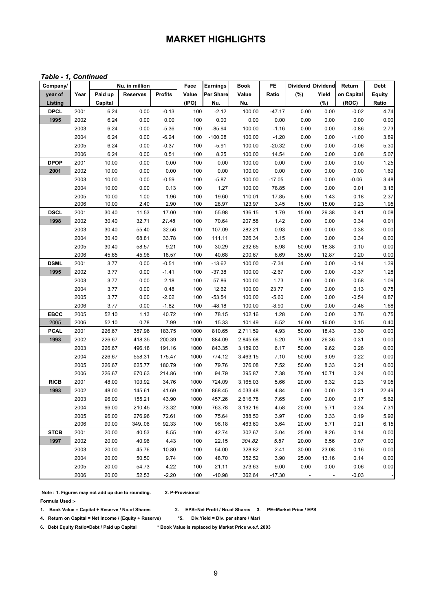## **MARKET HIGHLIGHTS**

#### *Table - 1, Continued*

| Company/            |              |              | Nu. in million  |                 | Face       | Earnings       | Book             | PE            | Dividend Dividend        |                          | Return       | Debt          |
|---------------------|--------------|--------------|-----------------|-----------------|------------|----------------|------------------|---------------|--------------------------|--------------------------|--------------|---------------|
| year of             | Year         | Paid up      | <b>Reserves</b> | <b>Profits</b>  | Value      | Per Share      | Value            | Ratio         | (%)                      | Yield                    | on Capital   | <b>Equity</b> |
| Listing             |              | Capital      |                 |                 | (IPO)      | Nu.            | Nu.              |               |                          | (%)                      | (ROC)        | Ratio         |
| <b>DPCL</b>         | 2001         | 6.24         | 0.00            | $-0.13$         | 100        | $-2.12$        | 100.00           | $-47.17$      | 0.00                     | 0.00                     | $-0.02$      | 4.74          |
| 1995                | 2002         | 6.24         | 0.00            | 0.00            | 100        | 0.00           | 0.00             | 0.00          | 0.00                     | 0.00                     | 0.00         | 0.00          |
|                     | 2003         | 6.24         | 0.00            | $-5.36$         | 100        | $-85.94$       | 100.00           | $-1.16$       | 0.00                     | 0.00                     | $-0.86$      | 2.73          |
|                     | 2004         | 6.24         | 0.00            | $-6.24$         | 100        | $-100.08$      | 100.00           | $-1.20$       | 0.00                     | 0.00                     | $-1.00$      | 3.89          |
|                     | 2005         | 6.24         | 0.00            | $-0.37$         | 100        | $-5.91$        | 100.00           | $-20.32$      | 0.00                     | 0.00                     | $-0.06$      | 5.30          |
|                     | 2006         | 6.24         | 0.00            | 0.51            | 100        | 8.25           | 100.00           | 14.54         | 0.00                     | 0.00                     | 0.08         | 5.07          |
| <b>DPOP</b>         | 2001         | 10.00        | 0.00            | 0.00            | 100        | 0.00           | 100.00           | 0.00          | 0.00                     | 0.00                     | 0.00         | 1.25          |
| 2001                | 2002         | 10.00        | 0.00            | 0.00            | 100        | 0.00           | 100.00           | 0.00          | 0.00                     | 0.00                     | 0.00         | 1.69          |
|                     | 2003         | 10.00        | 0.00            | $-0.59$         | 100        | $-5.87$        | 100.00           | $-17.05$      | 0.00                     | 0.00                     | $-0.06$      | 3.48          |
|                     | 2004         | 10.00        | 0.00            | 0.13            | 100        | 1.27           | 100.00           | 78.85         | 0.00                     | 0.00                     | 0.01         | 3.16          |
|                     | 2005         | 10.00        | 1.00            | 1.96            | 100        | 19.60          | 110.01           | 17.85         | 5.00                     | 1.43                     | 0.18         | 2.37          |
|                     | 2006         | 10.00        | 2.40            | 2.90            | 100        | 28.97          | 123.97           | 3.45          | 15.00                    | 15.00                    | 0.23         | 1.95          |
| <b>DSCL</b>         | 2001         | 30.40        | 11.53           | 17.00           | 100        | 55.98          | 136.15           | 1.79          | 15.00                    | 29.38                    | 0.41         | 0.08          |
| 1998                | 2002         | 30.40        | 32.71           | 21.48           | 100        | 70.64          | 207.58           | 1.42          | 0.00                     | 0.00                     | 0.34         | 0.01          |
|                     | 2003         | 30.40        | 55.40           | 32.56           | 100        | 107.09         | 282.21           | 0.93          | 0.00                     | 0.00                     | 0.38         | 0.00          |
|                     | 2004         | 30.40        | 68.81           | 33.78           | 100        | 111.11         | 326.34           | 3.15          | 0.00                     | 0.00                     | 0.34         | 0.00          |
|                     | 2005         | 30.40        | 58.57           | 9.21            | 100        | 30.29          | 292.65           | 8.98          | 50.00                    | 18.38                    | 0.10         | 0.00          |
|                     | 2006         | 45.65        | 45.96           | 18.57           | 100        | 40.68          | 200.67           | 6.69          | 35.00                    | 12.87                    | 0.20         | 0.00          |
| <b>DSML</b><br>1995 | 2001<br>2002 | 3.77         | 0.00            | $-0.51$         | 100        | $-13.62$       | 100.00           | $-7.34$       | 0.00                     | 0.00<br>0.00             | $-0.14$      | 1.39          |
|                     | 2003         | 3.77         | 0.00            | $-1.41$<br>2.18 | 100        | $-37.38$       | 100.00           | $-2.67$       | 0.00                     |                          | $-0.37$      | 1.28          |
|                     | 2004         | 3.77<br>3.77 | 0.00<br>0.00    | 0.48            | 100<br>100 | 57.86<br>12.62 | 100.00<br>100.00 | 1.73<br>23.77 | 0.00<br>0.00             | 0.00<br>0.00             | 0.58<br>0.13 | 1.09<br>0.75  |
|                     | 2005         | 3.77         | 0.00            | $-2.02$         | 100        | $-53.54$       | 100.00           | $-5.60$       | 0.00                     | 0.00                     | $-0.54$      | 0.87          |
|                     | 2006         | 3.77         | 0.00            | $-1.82$         | 100        | $-48.18$       | 100.00           | $-8.90$       | 0.00                     | 0.00                     | $-0.48$      | 1.68          |
| <b>EBCC</b>         | 2005         | 52.10        | 1.13            | 40.72           | 100        | 78.15          | 102.16           | 1.28          | 0.00                     | 0.00                     | 0.76         | 0.75          |
| 2005                | 2006         | 52.10        | 0.78            | 7.99            | 100        | 15.33          | 101.49           | 6.52          | 16.00                    | 16.00                    | 0.15         | 0.40          |
| <b>PCAL</b>         | 2001         | 226.67       | 387.96          | 183.75          | 1000       | 810.65         | 2,711.59         | 4.93          | 50.00                    | 18.43                    | 0.30         | 0.00          |
| 1993                | 2002         | 226.67       | 418.35          | 200.39          | 1000       | 884.09         | 2,845.68         | 5.20          | 75.00                    | 26.36                    | 0.31         | 0.00          |
|                     | 2003         | 226.67       | 496.18          | 191.16          | 1000       | 843.35         | 3,189.03         | 6.17          | 50.00                    | 9.62                     | 0.26         | 0.00          |
|                     | 2004         | 226.67       | 558.31          | 175.47          | 1000       | 774.12         | 3,463.15         | 7.10          | 50.00                    | 9.09                     | 0.22         | 0.00          |
|                     | 2005         | 226.67       | 625.77          | 180.79          | 100        | 79.76          | 376.08           | 7.52          | 50.00                    | 8.33                     | 0.21         | 0.00          |
|                     | 2006         | 226.67       | 670.63          | 214.86          | 100        | 94.79          | 395.87           | 7.38          | 75.00                    | 10.71                    | 0.24         | 0.00          |
| <b>RICB</b>         | 2001         | 48.00        | 103.92          | 34.76           | 1000       | 724.09         | 3,165.03         | 5.66          | 20.00                    | 6.32                     | 0.23         | 19.05         |
| 1993                | 2002         | 48.00        | 145.61          | 41.69           | 1000       | 868.45         | 4,033.48         | 4.84          | 0.00                     | 0.00                     | 0.21         | 22.49         |
|                     | 2003         | 96.00        | 155.21          | 43.90           | 1000       | 457.26         | 2,616.78         | 7.65          | 0.00                     | 0.00                     | 0.17         | 5.62          |
|                     | 2004         | 96.00        | 210.45          | 73.32           | 1000       | 763.78         | 3,192.16         | 4.58          | 20.00                    | 5.71                     | 0.24         | 7.31          |
|                     | 2005         | 96.00        | 276.96          | 72.61           | 100        | 75.64          | 388.50           | 3.97          | 10.00                    | 3.33                     | 0.19         | 5.92          |
|                     | 2006         | 90.00        | 349.06          | 92.33           | 100        | 96.18          | 463.60           | 3.64          | 20.00                    | 5.71                     | 0.21         | 6.15          |
| <b>STCB</b>         | 2001         | 20.00        | 40.53           | 8.55            | 100        | 42.74          | 302.67           | 3.04          | 25.00                    | 8.26                     | 0.14         | 0.00          |
| 1997                | 2002         | 20.00        | 40.96           | 4.43            | 100        | 22.15          | 304.82           | 5.87          | 20.00                    | 6.56                     | 0.07         | 0.00          |
|                     | 2003         | 20.00        | 45.76           | 10.80           | 100        | 54.00          | 328.82           | 2.41          | 30.00                    | 23.08                    | 0.16         | 0.00          |
|                     | 2004         | 20.00        | 50.50           | 9.74            | 100        | 48.70          | 352.52           | 3.90          | 25.00                    | 13.16                    | 0.14         | 0.00          |
|                     | 2005         | 20.00        | 54.73           | 4.22            | 100        | 21.11          | 373.63           | 9.00          | 0.00                     | 0.00                     | 0.06         | 0.00          |
|                     | 2006         | 20.00        | 52.53           | $-2.20$         | 100        | $-10.98$       | 362.64           | $-17.30$      | $\overline{\phantom{a}}$ | $\overline{\phantom{a}}$ | $-0.03$      |               |

 **Note : 1. Figures may not add up due to rounding. 2. P-Provisional Formula Used :-**

**1. Book Value = Capital + Reserve / No.of Shares 2. EPS=Net Profit / No.of Shares 3. PE=Market Price / EPS** 

**4. Return on Capital = Net Income / (Equity + Reserve) \*5. Div.Yield = Div. per share / Mark**

**6. Debt Equity Ratio=Debt / Paid up Capital \* Book Value is replaced by Market Price w.e.f. 2003**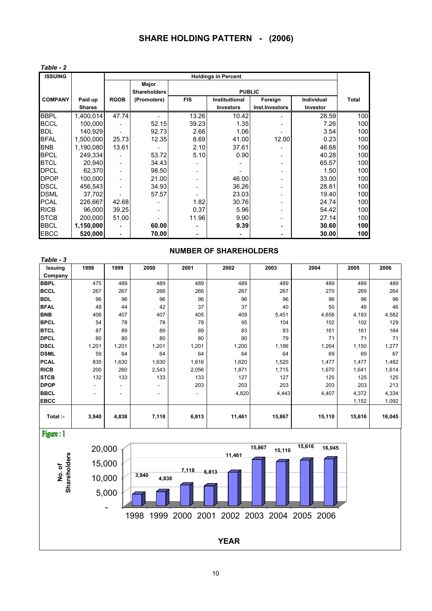| <b>SHARE HOLDING PATTERN</b> |  | (2006) |  |
|------------------------------|--|--------|--|
|------------------------------|--|--------|--|

| Table - 2      |               |                          |                     |            |                            |                |                   |       |
|----------------|---------------|--------------------------|---------------------|------------|----------------------------|----------------|-------------------|-------|
| <b>ISSUING</b> |               |                          |                     |            | <b>Holdings in Percent</b> |                |                   |       |
|                |               |                          | Major               |            |                            |                |                   |       |
|                |               |                          | <b>Shareholders</b> |            | <b>PUBLIC</b>              |                |                   |       |
| <b>COMPANY</b> | Paid up       | <b>RGOB</b>              | (Promoters)         | <b>FIS</b> | Instituitional             | Foreign        | <b>Individual</b> | Total |
|                | <b>Shares</b> |                          |                     |            | <b>Investors</b>           | Inst.Investors | Investor          |       |
| <b>BBPL</b>    | 1,400,014     | 47.74                    |                     | 13.26      | 10.42                      |                | 28.59             | 100   |
| BCCL           | 100.000       |                          | 52.15               | 39.23      | 1.35                       |                | 7.26              | 100   |
| BDL            | 140,929       |                          | 92.73               | 2.66       | 1.06                       |                | 3.54              | 100   |
| <b>BFAL</b>    | 1,500,000     | 25.73                    | 12.35               | 8.69       | 41.00                      | 12.00          | 0.23              | 100   |
| BNB            | 1,190,080     | 13.61                    |                     | 2.10       | 37.61                      |                | 46.68             | 100   |
| <b>BPCL</b>    | 249.334       |                          | 53.72               | 5.10       | 0.90                       |                | 40.28             | 100   |
| <b>BTCL</b>    | 20.940        | ٠                        | 34.43               |            |                            |                | 65.57             | 100   |
| DPCL           | 62,370        | ٠                        | 98.50               |            |                            | ۰              | 1.50              | 100   |
| DPOP           | 100,000       | ۰                        | 21.00               |            | 46.00                      |                | 33.00             | 100   |
| DSCL           | 456,543       | ٠                        | 34.93               |            | 36.26                      | ۰              | 28.81             | 100   |
| DSML           | 37,702        | ä,                       | 57.57               |            | 23.03                      | ۰              | 19.40             | 100   |
| <b>PCAL</b>    | 226,667       | 42.68                    |                     | 1.82       | 30.76                      |                | 24.74             | 100   |
| <b>RICB</b>    | 96,000        | 39.25                    |                     | 0.37       | 5.96                       | ۰              | 54.42             | 100   |
| <b>STCB</b>    | 200,000       | 51.00                    |                     | 11.96      | 9.90                       |                | 27.14             | 100   |
| BBCL           | 1,150,000     |                          | 60.00               |            | 9.39                       |                | 30.60             | 100   |
| EBCC           | 520,000       | $\overline{\phantom{0}}$ | 70.00               |            |                            |                | 30.00             | 100   |

|                |                          |       |       | IVUINDLIVUI              | <u>UIMINLIIVLULIN</u> |        |        |        |        |
|----------------|--------------------------|-------|-------|--------------------------|-----------------------|--------|--------|--------|--------|
| Table - 3      |                          |       |       |                          |                       |        |        |        |        |
| <b>Issuing</b> | 1998                     | 1999  | 2000  | 2001                     | 2002                  | 2003   | 2004   | 2005   | 2006   |
| Company        |                          |       |       |                          |                       |        |        |        |        |
| <b>BBPL</b>    | 475                      | 489   | 489   | 489                      | 489                   | 489    | 489    | 489    | 489    |
| <b>BCCL</b>    | 267                      | 267   | 266   | 266                      | 267                   | 267    | 270    | 269    | 264    |
| <b>BDL</b>     | 96                       | 96    | 96    | 96                       | 96                    | 96     | 96     | 96     | 96     |
| <b>BFAL</b>    | 48                       | 44    | 42    | 37                       | 37                    | 40     | 50     | 46     | 46     |
| <b>BNB</b>     | 406                      | 407   | 407   | 405                      | 409                   | 5,451  | 4,656  | 4,193  | 4,582  |
| <b>BPCL</b>    | 54                       | 78    | 78    | 78                       | 95                    | 104    | 102    | 102    | 129    |
| <b>BTCL</b>    | 87                       | 89    | 89    | 89                       | 83                    | 83     | 161    | 161    | 164    |
| <b>DPCL</b>    | 80                       | 80    | 80    | 80                       | 80                    | 79     | 71     | 71     | 71     |
| <b>DSCL</b>    | 1,201                    | 1,201 | 1,201 | 1,201                    | 1,200                 | 1,186  | 1,264  | 1,150  | 1,277  |
| <b>DSML</b>    | 59                       | 64    | 64    | 64                       | 64                    | 64     | 69     | 69     | 67     |
| <b>PCAL</b>    | 835                      | 1,630 | 1,630 | 1,616                    | 1,620                 | 1,520  | 1,477  | 1,477  | 1,482  |
| <b>RICB</b>    | 200                      | 260   | 2,543 | 2,056                    | 1,871                 | 1,715  | 1,670  | 1,641  | 1,614  |
| <b>STCB</b>    | 132                      | 133   | 133   | 133                      | 127                   | 127    | 125    | 125    | 125    |
| <b>DPOP</b>    | $\overline{\phantom{0}}$ | ٠     | ٠     | 203                      | 203                   | 203    | 203    | 203    | 213    |
| <b>BBCL</b>    | $\overline{\phantom{a}}$ | ٠     | ۰     | $\overline{\phantom{a}}$ | 4,820                 | 4,443  | 4,407  | 4,372  | 4,334  |
| <b>EBCC</b>    |                          |       |       |                          |                       |        |        | 1,152  | 1,092  |
|                |                          |       |       |                          |                       |        |        |        |        |
| Total :-       | 3,940                    | 4,838 | 7,118 | 6,813                    | 11,461                | 15,867 | 15,110 | 15,616 | 16,045 |



| <b>NUMBER OF SHAREHOLDERS</b> |  |  |
|-------------------------------|--|--|
|                               |  |  |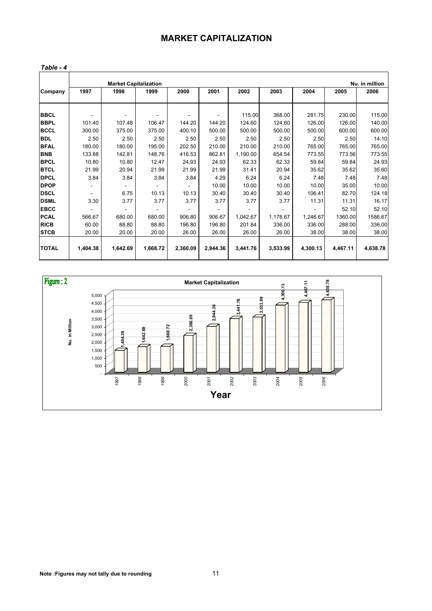## **MARKET CAPITALIZATION**

| 'able |  |
|-------|--|
|       |  |

|              |          | <b>Market Capitalization</b> |          |          |          |          |          |          |          | Nu. in million |
|--------------|----------|------------------------------|----------|----------|----------|----------|----------|----------|----------|----------------|
| Company      | 1997     | 1998                         | 1999     | 2000     | 2001     | 2002     | 2003     | 2004     | 2005     | 2006           |
|              |          |                              |          |          |          |          |          |          |          |                |
|              |          |                              |          |          |          |          |          |          |          |                |
| <b>BBCL</b>  |          | ٠                            |          |          |          | 115.00   | 368.00   | 281.75   | 230.00   | 115.00         |
| <b>BBPL</b>  | 101.40   | 107.48                       | 106.47   | 144.20   | 144.20   | 124.60   | 124.60   | 126.00   | 126.00   | 140.00         |
| <b>BCCL</b>  | 300.00   | 375.00                       | 375.00   | 400.10   | 500.00   | 500.00   | 500.00   | 500.00   | 600.00   | 600.00         |
| <b>BDL</b>   | 2.50     | 2.50                         | 2.50     | 2.50     | 2.50     | 2.50     | 2.50     | 2.50     | 2.50     | 14.10          |
| <b>BFAL</b>  | 180.00   | 180.00                       | 195.00   | 202.50   | 210.00   | 210.00   | 210.00   | 765.00   | 765.00   | 765.00         |
| <b>BNB</b>   | 133.88   | 142.81                       | 148.76   | 416.53   | 862.81   | 1,190.00 | 654.54   | 773.55   | 773.56   | 773.55         |
| <b>BPCL</b>  | 10.80    | 10.80                        | 12.47    | 24.93    | 24.93    | 62.33    | 62.33    | 59.84    | 59.84    | 24.93          |
| <b>BTCL</b>  | 21.99    | 20.94                        | 21.99    | 21.99    | 21.99    | 31.41    | 20.94    | 35.62    | 35.62    | 35.60          |
| <b>DPCL</b>  | 3.84     | 3.84                         | 3.84     | 3.84     | 4.29     | 6.24     | 6.24     | 7.48     | 7.48     | 7.48           |
| <b>DPOP</b>  |          |                              |          |          | 10.00    | 10.00    | 10.00    | 10.00    | 35.00    | 10.00          |
| <b>DSCL</b>  |          | 6.75                         | 10.13    | 10.13    | 30.40    | 30.40    | 30.40    | 106.41   | 82.70    | 124.18         |
| <b>DSML</b>  | 3.30     | 3.77                         | 3.77     | 3.77     | 3.77     | 3.77     | 3.77     | 11.31    | 11.31    | 16.17          |
| <b>EBCC</b>  |          |                              |          |          |          |          |          |          | 52.10    | 52.10          |
| <b>PCAL</b>  | 566.67   | 680.00                       | 680.00   | 906.80   | 906.67   | 1,042.67 | 1,178.67 | 1,246.67 | 1360.00  | 1586.67        |
| <b>RICB</b>  | 60.00    | 88.80                        | 88.80    | 196.80   | 196.80   | 201.84   | 336.00   | 336.00   | 288.00   | 336.00         |
| <b>STCB</b>  | 20.00    | 20.00                        | 20.00    | 26.00    | 26.00    | 26.00    | 26.00    | 38.00    | 38.00    | 38.00          |
|              |          |                              |          |          |          |          |          |          |          |                |
| <b>TOTAL</b> | 1,404.38 | 1,642.69                     | 1,668.72 | 2,360.09 | 2,944.36 | 3,441.76 | 3,533.99 | 4,300.13 | 4,467.11 | 4,638.78       |
|              |          |                              |          |          |          |          |          |          |          |                |

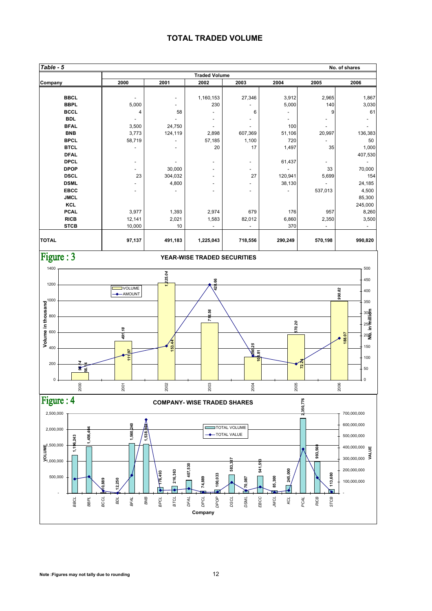#### **TOTAL TRADED VOLUME**

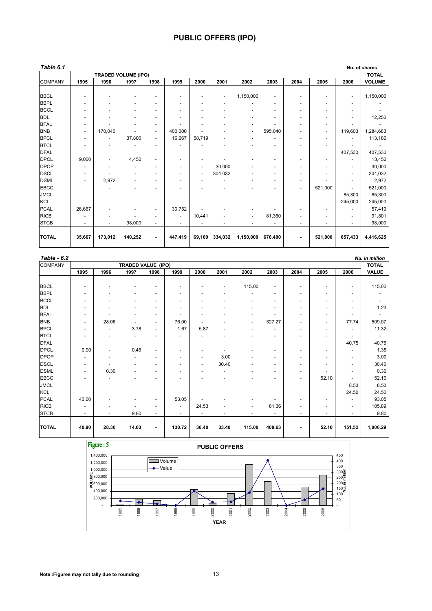### **PUBLIC OFFERS (IPO)**

| Table 6.1      |                          |                          |                            |                          |                              |                          |                          |                          |                          |                          |                          |                          | No. of shares |
|----------------|--------------------------|--------------------------|----------------------------|--------------------------|------------------------------|--------------------------|--------------------------|--------------------------|--------------------------|--------------------------|--------------------------|--------------------------|---------------|
|                |                          |                          | <b>TRADED VOLUME (IPO)</b> |                          |                              |                          |                          |                          |                          |                          |                          |                          | <b>TOTAL</b>  |
| <b>COMPANY</b> | 1995                     | 1996                     | 1997                       | 1998                     | 1999                         | 2000                     | 2001                     | 2002                     | 2003                     | 2004                     | 2005                     | 2006                     | <b>VOLUME</b> |
|                |                          |                          |                            |                          |                              |                          |                          |                          |                          |                          |                          |                          |               |
| <b>BBCL</b>    | $\overline{\phantom{a}}$ |                          |                            | $\overline{\phantom{0}}$ | ٠                            |                          | $\overline{\phantom{a}}$ | 1,150,000                | $\overline{\phantom{a}}$ |                          |                          | $\overline{\phantom{a}}$ | 1,150,000     |
| <b>BBPL</b>    | $\overline{\phantom{a}}$ | $\overline{\phantom{a}}$ |                            | $\overline{\phantom{a}}$ | ٠                            |                          | $\overline{\phantom{a}}$ |                          | $\overline{\phantom{a}}$ |                          |                          |                          |               |
| <b>BCCL</b>    | $\overline{\phantom{0}}$ |                          |                            | -                        | $\qquad \qquad \blacksquare$ |                          | $\overline{\phantom{a}}$ |                          |                          |                          |                          |                          |               |
| <b>BDL</b>     | $\overline{\phantom{a}}$ |                          |                            | $\overline{\phantom{a}}$ | ٠                            | $\overline{\phantom{a}}$ | $\overline{\phantom{a}}$ | ٠                        |                          |                          | $\overline{\phantom{a}}$ | $\overline{\phantom{a}}$ | 12,250        |
| <b>BFAL</b>    | $\overline{\phantom{a}}$ |                          | $\overline{\phantom{a}}$   | $\overline{\phantom{a}}$ |                              |                          | $\overline{\phantom{a}}$ | ٠                        |                          |                          | $\overline{\phantom{a}}$ |                          |               |
| <b>BNB</b>     | $\overline{\phantom{a}}$ | 170,040                  |                            | $\overline{\phantom{a}}$ | 400,000                      |                          | $\overline{\phantom{a}}$ | $\overline{\phantom{a}}$ | 595,040                  |                          | $\overline{\phantom{a}}$ | 119,603                  | 1,284,683     |
| <b>BPCL</b>    | $\overline{\phantom{a}}$ |                          | 37,800                     | $\overline{\phantom{a}}$ | 16,667                       | 58,719                   | $\overline{\phantom{a}}$ | ٠                        |                          |                          |                          |                          | 113,186       |
| <b>BTCL</b>    | $\overline{\phantom{0}}$ |                          |                            |                          |                              |                          |                          |                          |                          |                          |                          |                          |               |
| <b>DFAL</b>    |                          |                          |                            |                          |                              |                          |                          |                          |                          |                          |                          | 407,530                  | 407,530       |
| <b>DPCL</b>    | 9,000                    | $\overline{\phantom{a}}$ | 4,452                      | $\overline{\phantom{a}}$ | $\qquad \qquad \blacksquare$ |                          |                          | ٠                        |                          |                          |                          |                          | 13,452        |
| <b>DPOP</b>    |                          |                          |                            | $\overline{\phantom{a}}$ | $\overline{\phantom{a}}$     | $\overline{\phantom{a}}$ | 30,000                   | ٠                        |                          |                          |                          |                          | 30,000        |
| <b>DSCL</b>    | $\overline{\phantom{a}}$ |                          |                            | $\overline{\phantom{0}}$ | $\qquad \qquad \blacksquare$ | $\overline{\phantom{a}}$ | 304,032                  |                          |                          |                          |                          | $\overline{\phantom{a}}$ | 304,032       |
| <b>DSML</b>    | $\overline{\phantom{a}}$ | 2,972                    | $\overline{\phantom{a}}$   | $\overline{\phantom{a}}$ | $\overline{\phantom{a}}$     | $\overline{\phantom{a}}$ | $\overline{\phantom{a}}$ | $\overline{\phantom{a}}$ | $\overline{\phantom{a}}$ | $\overline{\phantom{a}}$ |                          | $\overline{\phantom{a}}$ | 2,972         |
| <b>EBCC</b>    |                          |                          | $\overline{\phantom{a}}$   |                          | $\overline{\phantom{a}}$     |                          | $\overline{\phantom{a}}$ | $\overline{\phantom{a}}$ | $\overline{\phantom{a}}$ | $\overline{\phantom{a}}$ | 521,000                  | $\overline{\phantom{a}}$ | 521,000       |
| <b>JMCL</b>    |                          |                          |                            |                          |                              |                          |                          |                          |                          |                          |                          | 85,300                   | 85,300        |
| <b>KCL</b>     |                          |                          |                            |                          |                              |                          |                          |                          |                          |                          |                          | 245,000                  | 245,000       |
| <b>PCAL</b>    | 26,667                   |                          | $\overline{\phantom{a}}$   | $\overline{\phantom{a}}$ | 30,752                       |                          |                          |                          |                          |                          |                          |                          | 57,419        |
| <b>RICB</b>    |                          |                          |                            | $\overline{\phantom{0}}$ | $\blacksquare$               | 10,441                   | $\overline{\phantom{a}}$ | ٠                        | 81,360                   |                          |                          |                          | 91,801        |
| <b>STCB</b>    |                          |                          | 98,000                     | $\overline{\phantom{a}}$ | $\overline{\phantom{a}}$     |                          |                          |                          |                          |                          |                          |                          | 98,000        |
| <b>TOTAL</b>   | 35,667                   | 173,012                  | 140,252                    |                          | 447,419                      | 69,160                   | 334,032                  | 1,150,000                | 676,400                  |                          | 521,000                  | 857,433                  | 4,416,625     |
|                |                          |                          |                            | ٠                        |                              |                          |                          |                          |                          | ٠                        |                          |                          |               |

| <b>COMPANY</b> |                          |                          | <b>TRADED VALUE (IPO)</b> |                          |                          |                          |                          |                          |                          |                          |                          |                          | <b>TOTAL</b> |
|----------------|--------------------------|--------------------------|---------------------------|--------------------------|--------------------------|--------------------------|--------------------------|--------------------------|--------------------------|--------------------------|--------------------------|--------------------------|--------------|
|                | 1995                     | 1996                     | 1997                      | 1998                     | 1999                     | 2000                     | 2001                     | 2002                     | 2003                     | 2004                     | 2005                     | 2006                     | <b>VALUE</b> |
|                |                          |                          |                           |                          |                          |                          |                          |                          |                          |                          |                          |                          |              |
| <b>BBCL</b>    | $\overline{\phantom{0}}$ | $\overline{\phantom{a}}$ |                           | $\overline{\phantom{a}}$ | ٠                        |                          | $\overline{\phantom{a}}$ | 115.00                   | $\overline{\phantom{a}}$ | ٠                        | $\overline{\phantom{a}}$ | $\overline{\phantom{a}}$ | 115.00       |
| <b>BBPL</b>    | -                        |                          |                           | $\overline{\phantom{a}}$ | $\overline{\phantom{a}}$ |                          | $\overline{\phantom{a}}$ | $\overline{\phantom{a}}$ | $\overline{\phantom{a}}$ | $\overline{\phantom{a}}$ | $\overline{\phantom{a}}$ |                          |              |
| <b>BCCL</b>    | $\overline{\phantom{0}}$ | $\overline{\phantom{a}}$ |                           | $\overline{\phantom{a}}$ | $\overline{\phantom{a}}$ |                          | $\overline{\phantom{0}}$ | $\overline{a}$           | $\overline{\phantom{a}}$ | -                        | $\overline{\phantom{a}}$ |                          |              |
| <b>BDL</b>     | -                        |                          |                           | $\overline{\phantom{a}}$ | $\overline{\phantom{a}}$ |                          | $\overline{\phantom{a}}$ | $\overline{\phantom{a}}$ | $\overline{\phantom{a}}$ | $\overline{\phantom{a}}$ | $\overline{a}$           | $\overline{\phantom{a}}$ | 1.23         |
| <b>BFAL</b>    | $\overline{\phantom{0}}$ |                          |                           | $\overline{\phantom{a}}$ | ٠                        |                          | $\overline{\phantom{a}}$ | $\overline{\phantom{a}}$ |                          |                          | $\overline{\phantom{a}}$ |                          |              |
| <b>BNB</b>     | $\overline{\phantom{a}}$ | 28.06                    |                           | $\overline{\phantom{a}}$ | 76.00                    |                          | $\overline{\phantom{0}}$ | $\overline{\phantom{a}}$ | 327.27                   | $\overline{a}$           | $\overline{\phantom{a}}$ | 77.74                    | 509.07       |
| <b>BPCL</b>    | $\overline{\phantom{0}}$ | $\overline{\phantom{a}}$ | 3.78                      | $\overline{\phantom{a}}$ | 1.67                     | 5.87                     | $\overline{\phantom{a}}$ | $\overline{\phantom{a}}$ |                          | ٠                        | $\overline{\phantom{a}}$ | $\overline{\phantom{a}}$ | 11.32        |
| <b>BTCL</b>    | -                        |                          |                           |                          | $\overline{\phantom{a}}$ |                          | $\overline{\phantom{0}}$ | $\overline{\phantom{a}}$ | -                        | $\overline{\phantom{a}}$ | ٠                        | $\overline{\phantom{a}}$ |              |
| <b>DFAL</b>    |                          |                          |                           |                          |                          |                          |                          |                          |                          |                          |                          | 40.75                    | 40.75        |
| <b>DPCL</b>    | 0.90                     | $\overline{\phantom{a}}$ | 0.45                      | $\overline{\phantom{a}}$ | $\overline{\phantom{a}}$ |                          | $\overline{\phantom{a}}$ | $\overline{\phantom{a}}$ | ۰                        | $\overline{\phantom{a}}$ | $\overline{\phantom{a}}$ | $\overline{\phantom{a}}$ | 1.35         |
| <b>DPOP</b>    | $\overline{\phantom{0}}$ | $\overline{\phantom{0}}$ |                           | $\overline{\phantom{0}}$ | $\overline{\phantom{a}}$ | $\overline{\phantom{a}}$ | 3.00                     | $\overline{\phantom{a}}$ | $\overline{\phantom{a}}$ | $\overline{\phantom{a}}$ | $\overline{a}$           | $\overline{\phantom{a}}$ | 3.00         |
| <b>DSCL</b>    | -                        | $\overline{\phantom{a}}$ |                           | $\overline{\phantom{a}}$ | $\overline{\phantom{a}}$ | $\overline{\phantom{a}}$ | 30.40                    | $\overline{\phantom{a}}$ | $\overline{\phantom{a}}$ | $\overline{\phantom{a}}$ | $\overline{\phantom{a}}$ | $\overline{\phantom{0}}$ | 30.40        |
| <b>DSML</b>    | $\overline{\phantom{0}}$ | 0.30                     |                           | $\overline{\phantom{0}}$ | $\overline{\phantom{a}}$ |                          | $\overline{\phantom{a}}$ | $\overline{\phantom{a}}$ | $\overline{\phantom{a}}$ | $\overline{\phantom{a}}$ |                          | $\overline{\phantom{a}}$ | 0.30         |
| <b>EBCC</b>    | -                        | $\overline{\phantom{0}}$ | $\overline{\phantom{a}}$  |                          | $\overline{\phantom{a}}$ |                          | $\overline{\phantom{0}}$ | $\overline{\phantom{a}}$ | $\overline{\phantom{a}}$ | $\overline{\phantom{a}}$ | 52.10                    | $\overline{\phantom{a}}$ | 52.10        |
| <b>JMCL</b>    |                          |                          |                           |                          |                          |                          |                          |                          |                          |                          |                          | 8.53                     | 8.53         |
| KCL            |                          |                          |                           |                          |                          |                          |                          |                          |                          |                          |                          | 24.50                    | 24.50        |
| <b>PCAL</b>    | 40.00                    | $\overline{\phantom{a}}$ |                           | $\overline{\phantom{a}}$ | 53.05                    |                          | $\overline{\phantom{a}}$ | $\overline{\phantom{a}}$ | ٠                        | $\overline{\phantom{a}}$ | $\overline{\phantom{a}}$ | $\blacksquare$           | 93.05        |
| <b>RICB</b>    | $\overline{\phantom{0}}$ |                          |                           | $\overline{\phantom{0}}$ | $\overline{\phantom{a}}$ | 24.53                    | $\overline{\phantom{a}}$ | $\overline{\phantom{a}}$ | 81.36                    | $\overline{\phantom{a}}$ | ٠                        | $\overline{\phantom{a}}$ | 105.89       |
| <b>STCB</b>    | $\overline{\phantom{0}}$ | $\overline{\phantom{a}}$ | 9.80                      | $\overline{\phantom{a}}$ | $\blacksquare$           |                          | $\overline{\phantom{0}}$ | $\overline{\phantom{a}}$ | $\overline{\phantom{a}}$ | $\overline{\phantom{a}}$ | $\overline{a}$           |                          | 9.80         |
|                |                          |                          |                           |                          |                          |                          |                          |                          |                          |                          |                          |                          |              |
| <b>TOTAL</b>   | 40.90                    | 28.36                    | 14.03                     | ٠                        | 130.72                   | 30.40                    | 33.40                    | 115.00                   | 408.63                   | ٠                        | 52.10                    | 151.52                   | 1,006.29     |



Note : Figures may not tally due to rounding **13**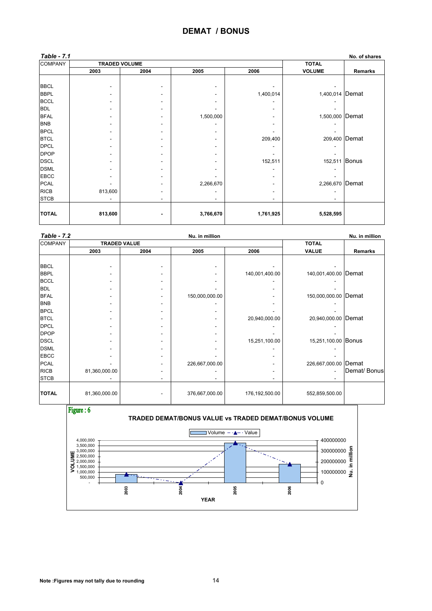#### **DEMAT / BONUS**

| <b>COMPANY</b> | <b>TRADED VOLUME</b> |                          |                          |           | <b>TOTAL</b>    |                |
|----------------|----------------------|--------------------------|--------------------------|-----------|-----------------|----------------|
|                | 2003                 | 2004                     | 2005                     | 2006      | <b>VOLUME</b>   | <b>Remarks</b> |
|                |                      |                          |                          |           |                 |                |
| <b>BBCL</b>    |                      |                          | ٠                        |           |                 |                |
| <b>BBPL</b>    |                      |                          | ۰                        | 1,400,014 | 1,400,014 Demat |                |
| <b>BCCL</b>    |                      |                          | $\overline{\phantom{a}}$ |           |                 |                |
| <b>BDL</b>     |                      |                          | ۰                        |           |                 |                |
| <b>BFAL</b>    |                      |                          | 1,500,000                |           | 1,500,000 Demat |                |
| <b>BNB</b>     |                      |                          |                          |           |                 |                |
| <b>BPCL</b>    |                      | $\overline{\phantom{a}}$ | ۰                        | -         | -               |                |
| <b>BTCL</b>    |                      |                          | ۰                        | 209,400   |                 | 209,400 Demat  |
| <b>DPCL</b>    |                      |                          | ۰                        |           |                 |                |
| <b>DPOP</b>    |                      |                          | ۰                        |           |                 |                |
| <b>DSCL</b>    |                      |                          | ۰.                       | 152,511   | 152,511         | Bonus          |
| <b>DSML</b>    |                      |                          | $\overline{\phantom{a}}$ |           |                 |                |
| <b>EBCC</b>    |                      |                          |                          |           |                 |                |
| <b>PCAL</b>    |                      |                          | 2,266,670                |           | 2,266,670 Demat |                |
| <b>RICB</b>    | 813,600              |                          |                          |           |                 |                |
| <b>STCB</b>    |                      | ٠                        | ۰                        |           | ۰               |                |
|                |                      |                          |                          |           |                 |                |
| <b>TOTAL</b>   | 813,600              | ٠                        | 3,766,670                | 1,761,925 | 5,528,595       |                |

| Table - 7.2    |                     |                          | Nu. in million |                | Nu. in million       |                |  |
|----------------|---------------------|--------------------------|----------------|----------------|----------------------|----------------|--|
| <b>COMPANY</b> | <b>TRADED VALUE</b> |                          | <b>TOTAL</b>   |                |                      |                |  |
|                | 2003                | 2004                     | 2005           | 2006           | <b>VALUE</b>         | <b>Remarks</b> |  |
|                |                     |                          |                |                |                      |                |  |
| <b>BBCL</b>    |                     |                          |                |                |                      |                |  |
| <b>BBPL</b>    |                     |                          |                | 140,001,400.00 | 140,001,400.00 Demat |                |  |
| <b>BCCL</b>    |                     |                          |                |                |                      |                |  |
| <b>BDL</b>     |                     |                          |                |                |                      |                |  |
| <b>BFAL</b>    |                     |                          | 150,000,000.00 |                | 150,000,000.00 Demat |                |  |
| <b>BNB</b>     |                     |                          |                |                |                      |                |  |
| <b>BPCL</b>    |                     |                          |                |                |                      |                |  |
| <b>BTCL</b>    |                     |                          | ۰              | 20,940,000.00  | 20,940,000.00 Demat  |                |  |
| <b>DPCL</b>    |                     |                          | ۰              |                |                      |                |  |
| <b>DPOP</b>    |                     |                          |                |                |                      |                |  |
| <b>DSCL</b>    |                     |                          | ۰              | 15,251,100.00  | 15,251,100.00 Bonus  |                |  |
| <b>DSML</b>    |                     |                          | ۰              |                |                      |                |  |
| <b>EBCC</b>    |                     |                          |                |                |                      |                |  |
| <b>PCAL</b>    |                     |                          | 226,667,000.00 |                | 226,667,000.00 Demat |                |  |
| <b>RICB</b>    | 81,360,000.00       |                          |                |                |                      | Demat/ Bonus   |  |
| <b>STCB</b>    |                     | $\overline{\phantom{a}}$ | ۰              |                |                      |                |  |
| <b>TOTAL</b>   | 81,360,000.00       |                          | 376,667,000.00 | 176,192,500.00 | 552,859,500.00       |                |  |

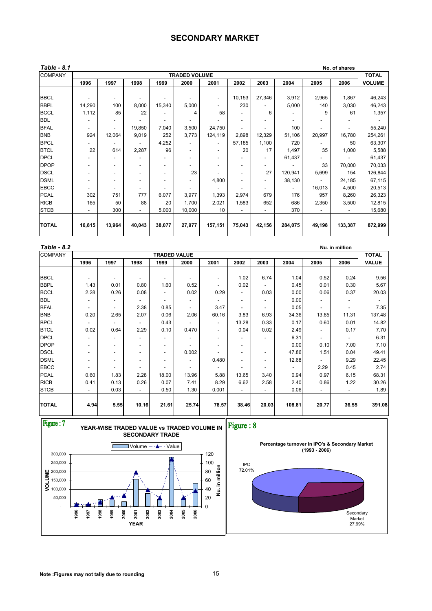### **SECONDARY MARKET**

| <b>Table - 8.1</b> |        |                          |        |        |                              |                              |                              |                              |                          |                          | No. of shares            |               |
|--------------------|--------|--------------------------|--------|--------|------------------------------|------------------------------|------------------------------|------------------------------|--------------------------|--------------------------|--------------------------|---------------|
| <b>COMPANY</b>     |        |                          |        |        | <b>TRADED VOLUME</b>         |                              |                              |                              |                          |                          |                          | <b>TOTAL</b>  |
|                    | 1996   | 1997                     | 1998   | 1999   | 2000                         | 2001                         | 2002                         | 2003                         | 2004                     | 2005                     | 2006                     | <b>VOLUME</b> |
|                    |        |                          |        |        |                              |                              |                              |                              |                          |                          |                          |               |
| <b>BBCL</b>        |        | ۰.                       |        |        | $\overline{\phantom{a}}$     | $\overline{\phantom{a}}$     | 10,153                       | 27,346                       | 3,912                    | 2,965                    | 1,867                    | 46,243        |
| <b>BBPL</b>        | 14,290 | 100                      | 8,000  | 15,340 | 5,000                        | ٠                            | 230                          | $\overline{\phantom{0}}$     | 5,000                    | 140                      | 3,030                    | 46,243        |
| <b>BCCL</b>        | 1,112  | 85                       | 22     |        | 4                            | 58                           | $\qquad \qquad \blacksquare$ | 6                            | $\overline{a}$           | 9                        | 61                       | 1,357         |
| <b>BDL</b>         |        | ٠                        |        |        | ۰                            |                              | ٠                            | ۰                            | -                        |                          |                          |               |
| <b>BFAL</b>        | ۰.     | $\overline{\phantom{a}}$ | 19,850 | 7,040  | 3,500                        | 24,750                       | ٠                            | $\overline{\phantom{a}}$     | 100                      | $\overline{\phantom{a}}$ | $\overline{\phantom{a}}$ | 55,240        |
| <b>BNB</b>         | 924    | 12,064                   | 9,019  | 252    | 3,773                        | 124,119                      | 2,898                        | 12,329                       | 51,106                   | 20,997                   | 16,780                   | 254,261       |
| <b>BPCL</b>        |        | $\overline{\phantom{a}}$ |        | 4,252  | $\overline{\phantom{a}}$     | $\overline{\phantom{a}}$     | 57,185                       | 1,100                        | 720                      | $\overline{\phantom{0}}$ | 50                       | 63,307        |
| <b>BTCL</b>        | 22     | 614                      | 2,287  | 96     | $\overline{\phantom{a}}$     | ٠                            | 20                           | 17                           | 1,497                    | 35                       | 1,000                    | 5,588         |
| <b>DPCL</b>        |        | $\overline{\phantom{a}}$ |        |        | ۰.                           | $\qquad \qquad \blacksquare$ | ۰                            | $\overline{\phantom{a}}$     | 61,437                   | ٠.                       |                          | 61,437        |
| <b>DPOP</b>        |        | ۰                        |        |        | $\qquad \qquad \blacksquare$ | $\qquad \qquad \blacksquare$ | $\qquad \qquad \blacksquare$ | $\qquad \qquad \blacksquare$ |                          | 33                       | 70,000                   | 70,033        |
| <b>DSCL</b>        |        |                          |        |        | 23                           |                              | ۰                            | 27                           | 120,941                  | 5,699                    | 154                      | 126,844       |
| <b>DSML</b>        |        |                          |        |        | $\qquad \qquad \blacksquare$ | 4,800                        | $\qquad \qquad \blacksquare$ | $\overline{\phantom{0}}$     | 38,130                   | $\sim$                   | 24,185                   | 67,115        |
| <b>EBCC</b>        | ۰      | ۰.                       | ۰.     |        | ٠                            | $\qquad \qquad \blacksquare$ | ۰                            | $\overline{\phantom{a}}$     | $\overline{\phantom{0}}$ | 16,013                   | 4,500                    | 20,513        |
| <b>PCAL</b>        | 302    | 751                      | 777    | 6,077  | 3,977                        | 1,393                        | 2,974                        | 679                          | 176                      | 957                      | 8,260                    | 26,323        |
| <b>RICB</b>        | 165    | 50                       | 88     | 20     | 1,700                        | 2,021                        | 1,583                        | 652                          | 686                      | 2,350                    | 3,500                    | 12,815        |
| <b>STCB</b>        |        | 300                      |        | 5,000  | 10,000                       | 10                           |                              |                              | 370                      |                          |                          | 15,680        |
|                    |        |                          |        |        |                              |                              |                              |                              |                          |                          |                          |               |
| <b>TOTAL</b>       | 16,815 | 13,964                   | 40,043 | 38,077 | 27,977                       | 157,151                      | 75,043                       | 42,156                       | 284,075                  | 49,198                   | 133,387                  | 872,999       |

| Table - 8.2    |                          |                          |                          |                          |                          |                          |                          |                          |        |                          | Nu. in million           |                          |
|----------------|--------------------------|--------------------------|--------------------------|--------------------------|--------------------------|--------------------------|--------------------------|--------------------------|--------|--------------------------|--------------------------|--------------------------|
| <b>COMPANY</b> |                          |                          |                          | <b>TRADED VALUE</b>      |                          |                          |                          |                          |        |                          |                          | <b>TOTAL</b>             |
|                | 1996                     | 1997                     | 1998                     | 1999                     | 2000                     | 2001                     | 2002                     | 2003                     | 2004   | 2005                     | 2006                     | <b>VALUE</b>             |
|                |                          |                          |                          |                          |                          |                          |                          |                          |        |                          |                          |                          |
| <b>BBCL</b>    | $\overline{\phantom{a}}$ | ۰                        | ٠                        | ٠                        | ۰.                       | $\overline{\phantom{0}}$ | 1.02                     | 6.74                     | 1.04   | 0.52                     | 0.24                     | 9.56                     |
| <b>BBPL</b>    | 1.43                     | 0.01                     | 0.80                     | 1.60                     | 0.52                     | ٠.                       | 0.02                     | $\sim$                   | 0.45   | 0.01                     | 0.30                     | 5.67                     |
| <b>BCCL</b>    | 2.28                     | 0.26                     | 0.08                     | $\overline{\phantom{a}}$ | 0.02                     | 0.29                     | $\overline{\phantom{0}}$ | 0.03                     | 0.00   | 0.06                     | 0.37                     | 20.03                    |
| <b>BDL</b>     |                          | $\overline{\phantom{0}}$ | $\overline{\phantom{0}}$ | $\overline{\phantom{a}}$ | $\overline{\phantom{a}}$ | $\sim$                   | ۰                        | $\overline{\phantom{a}}$ | 0.00   | $\overline{\phantom{0}}$ | $\overline{\phantom{a}}$ | $\overline{\phantom{a}}$ |
| <b>BFAL</b>    | ٠                        | $\overline{\phantom{a}}$ | 2.38                     | 0.85                     | $\overline{\phantom{a}}$ | 3.47                     | ۰                        | $\overline{\phantom{a}}$ | 0.05   | $\overline{\phantom{m}}$ | $\overline{\phantom{a}}$ | 7.35                     |
| <b>BNB</b>     | 0.20                     | 2.65                     | 2.07                     | 0.06                     | 2.06                     | 60.16                    | 3.83                     | 6.93                     | 34.36  | 13.85                    | 11.31                    | 137.48                   |
| <b>BPCL</b>    | $\sim$                   | $\overline{\phantom{a}}$ | $\overline{\phantom{0}}$ | 0.43                     | $\sim$                   | $\sim$                   | 13.28                    | 0.33                     | 0.17   | 0.60                     | 0.01                     | 14.82                    |
| <b>BTCL</b>    | 0.02                     | 0.64                     | 2.29                     | 0.10                     | 0.470                    | ٠.                       | 0.04                     | 0.02                     | 2.49   | $\overline{\phantom{0}}$ | 0.17                     | 7.70                     |
| <b>DPCL</b>    |                          | ۰.                       | ٠                        |                          |                          | ٠                        |                          | ۰                        | 6.31   | $\sim$                   |                          | 6.31                     |
| <b>DPOP</b>    | $\overline{\phantom{a}}$ | ۰.                       | $\overline{\phantom{a}}$ | $\overline{\phantom{a}}$ |                          | ٠                        | ۰                        |                          | 0.00   | 0.10                     | 7.00                     | 7.10                     |
| <b>DSCL</b>    | ۰                        | ٠                        | ٠                        | $\overline{\phantom{a}}$ | 0.002                    | ۰.                       | ۰                        | ۰.                       | 47.86  | 1.51                     | 0.04                     | 49.41                    |
| <b>DSML</b>    |                          |                          | ٠                        |                          | ۰.                       | 0.480                    |                          | ٠.                       | 12.68  | ۰.                       | 9.29                     | 22.45                    |
| <b>EBCC</b>    | $\overline{\phantom{a}}$ | ٠                        | $\overline{\phantom{a}}$ |                          | ٠                        | $\sim$                   | ٠                        | ۰.                       | $\sim$ | 2.29                     | 0.45                     | 2.74                     |
| <b>PCAL</b>    | 0.60                     | 1.83                     | 2.28                     | 18.00                    | 13.96                    | 5.88                     | 13.65                    | 3.40                     | 0.94   | 0.97                     | 6.15                     | 68.31                    |
| <b>RICB</b>    | 0.41                     | 0.13                     | 0.26                     | 0.07                     | 7.41                     | 8.29                     | 6.62                     | 2.58                     | 2.40   | 0.86                     | 1.22                     | 30.26                    |
| <b>STCB</b>    | $\sim$                   | 0.03                     | $\overline{\phantom{a}}$ | 0.50                     | 1.30                     | 0.001                    | $\overline{\phantom{a}}$ | $\overline{\phantom{a}}$ | 0.06   | $\overline{\phantom{0}}$ | $\overline{\phantom{a}}$ | 1.89                     |
|                |                          |                          |                          |                          |                          |                          |                          |                          |        |                          |                          |                          |
| <b>TOTAL</b>   | 4.94                     | 5.55                     | 10.16                    | 21.61                    | 25.74                    | 78.57                    | 38.46                    | 20.03                    | 108.81 | 20.77                    | 36.55                    | 391.08                   |
|                |                          |                          |                          |                          |                          |                          |                          |                          |        |                          |                          |                          |



# Volume - **A** - Value **Percentage turnover in IPO's & Secondary Market** IPO 1,006.29 72.01 **(1993 - 2006)** IPO 72.01% Secondary Market 27.99%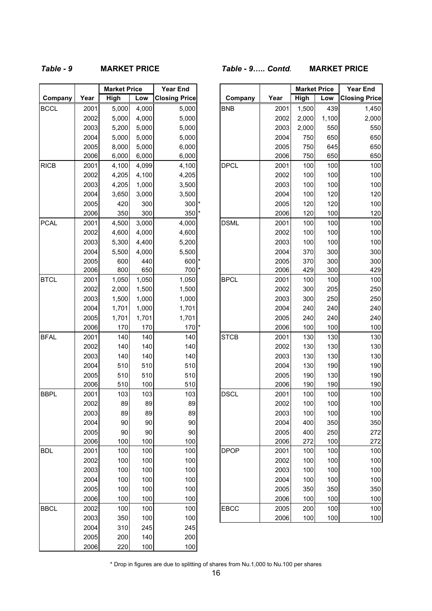#### *Table - 9* **MARKET PRICE** *Table - 9….. Contd.* **MARKET PRICE**

|             |              | <b>Market Price</b> |            | <b>Year End</b>      |
|-------------|--------------|---------------------|------------|----------------------|
| Company     | Year         | High                | Low        | <b>Closing Price</b> |
| <b>BCCL</b> | 2001         | 5,000               | 4,000      | 5,000                |
|             | 2002         | 5,000               | 4,000      | 5,000                |
|             | 2003         | 5,200               | 5,000      | 5,000                |
|             | 2004         | 5,000               | 5,000      | 5,000                |
|             | 2005         | 8,000               | 5,000      | 6,000                |
|             | 2006         | 6,000               | 6,000      | 6,000                |
| <b>RICB</b> | 2001         | 4,100               | 4,099      | 4,100                |
|             | 2002         | 4,205               | 4,100      | 4,205                |
|             | 2003         | 4,205               | 1,000      | 3,500                |
|             | 2004         | 3,650               | 3,000      | 3,500                |
|             | 2005         | 420                 | 300        | 300                  |
|             | 2006         | 350                 | 300        | 350                  |
| <b>PCAL</b> | 2001         | 4,500               | 3,000      | 4,000                |
|             | 2002         | 4,600               | 4,000      | 4,600                |
|             | 2003         | 5,300               | 4,400      | 5,200                |
|             | 2004         | 5,500               | 4,000      | 5,500                |
|             | 2005         | 600                 | 440        | 600                  |
|             | 2006         | 800                 | 650        | 700                  |
| <b>BTCL</b> | 2001         | 1,050               | 1,050      | 1,050                |
|             | 2002         | 2,000               | 1,500      | 1,500                |
|             | 2003         | 1,500               | 1,000      | 1,000                |
|             | 2004         | 1,701               | 1,000      | 1,701                |
|             | 2005         | 1,701               | 1,701      | 1,701                |
|             | 2006         | 170                 | 170        | 170                  |
| <b>BFAL</b> | 2001         | 140                 | 140        | 140                  |
|             | 2002         | 140                 | 140        | 140                  |
|             | 2003         | 140                 | 140        | 140                  |
|             | 2004         | 510                 | 510        | 510                  |
|             | 2005<br>2006 | 510                 | 510<br>100 | 510                  |
| <b>BBPL</b> | 2001         | 510<br>103          | 103        | 510<br>103           |
|             | 2002         | 89                  | 89         | 89                   |
|             | 2003         | 89                  | 89         | 89                   |
|             | 2004         | 90                  | 90         | 90                   |
|             | 2005         | 90                  | 90         | 90                   |
|             | 2006         | 100                 | 100        | 100                  |
| <b>BDL</b>  | 2001         | 100                 | 100        | 100                  |
|             | 2002         | 100                 | 100        | 100                  |
|             | 2003         | 100                 | 100        | 100                  |
|             | 2004         | 100                 | 100        | 100                  |
|             | 2005         | 100                 | 100        | 100                  |
|             | 2006         | 100                 | 100        | 100                  |
| <b>BBCL</b> | 2002         | 100                 | 100        | 100                  |
|             | 2003         | 350                 | 100        | 100                  |
|             | 2004         | 310                 | 245        | 245                  |
|             | 2005         | 200                 | 140        | 200                  |
|             | 2006         | 220                 | 100        | 100                  |

|             |              | <b>Market Price</b> |            | <b>Year End</b>      |             |              | <b>Market Price</b> |            | <b>Year End</b>      |
|-------------|--------------|---------------------|------------|----------------------|-------------|--------------|---------------------|------------|----------------------|
| Company     | Year         | High                | Low        | <b>Closing Price</b> | Company     | Year         | High                | Low        | <b>Closing Price</b> |
| <b>BCCL</b> | 2001         | 5,000               | 4,000      | 5,000                | <b>BNB</b>  | 2001         | 1,500               | 439        | 1,450                |
|             | 2002         | 5,000               | 4,000      | 5,000                |             | 2002         | 2,000               | 1,100      | 2,000                |
|             | 2003         | 5,200               | 5,000      | 5,000                |             | 2003         | 2,000               | 550        | 550                  |
|             | 2004         | 5,000               | 5,000      | 5,000                |             | 2004         | 750                 | 650        | 650                  |
|             | 2005         | 8,000               | 5,000      | 6,000                |             | 2005         | 750                 | 645        | 650                  |
|             | 2006         | 6,000               | 6,000      | 6,000                |             | 2006         | 750                 | 650        | 650                  |
| <b>RICB</b> | 2001         | 4,100               | 4,099      | 4,100                | <b>DPCL</b> | 2001         | 100                 | 100        | 100                  |
|             | 2002         | 4,205               | 4,100      | 4,205                |             | 2002         | 100                 | 100        | 100                  |
|             | 2003         | 4,205               | 1,000      | 3,500                |             | 2003         | 100                 | 100        | 100                  |
|             | 2004         | 3,650               | 3,000      | 3,500                |             | 2004         | 100                 | 120        | 120                  |
|             | 2005         | 420                 | 300        | 300 *                |             | 2005         | 120                 | 120        | 100                  |
|             | 2006         | 350                 | 300        | 350                  |             | 2006         | 120                 | 100        | 120                  |
| PCAL        | 2001         | 4,500               | 3,000      | 4,000                | <b>DSML</b> | 2001         | 100                 | 100        | 100                  |
|             | 2002         | 4,600               | 4,000      | 4,600                |             | 2002         | 100                 | 100        | 100                  |
|             | 2003         | 5,300               | 4,400      | 5,200                |             | 2003         | 100                 | 100        | 100                  |
|             | 2004         | 5,500               | 4,000      | 5,500                |             | 2004         | 370                 | 300        | 300                  |
|             | 2005         | 600                 | 440        | 600                  |             | 2005         | 370                 | 300        | 300                  |
|             | 2006         | 800                 | 650        | 700                  |             | 2006         | 429                 | 300        | 429                  |
| <b>BTCL</b> | 2001         | 1,050               | 1,050      | 1,050                | <b>BPCL</b> | 2001         | 100                 | 100        | 100                  |
|             | 2002         | 2,000               | 1,500      | 1,500                |             | 2002         | 300                 | 205        | 250                  |
|             | 2003         | 1,500               | 1,000      | 1,000                |             | 2003         | 300                 | 250        | 250                  |
|             | 2004         | 1,701               | 1,000      | 1,701                |             | 2004         | 240                 | 240        | 240                  |
|             | 2005         | 1,701               | 1,701      | 1,701                |             | 2005         | 240                 | 240        | 240                  |
|             | 2006         | 170                 | 170        | 170 *                |             | 2006         | 100                 | 100        | 100                  |
| <b>BFAL</b> | 2001         | 140                 | 140        | 140                  | <b>STCB</b> | 2001         | 130                 | 130        | 130                  |
|             | 2002         | 140                 | 140        | 140                  |             | 2002         | 130                 | 130        | 130                  |
|             | 2003         | 140                 | 140        | 140                  |             | 2003         | 130                 | 130        | 130                  |
|             | 2004         | 510                 | 510        | 510                  |             | 2004         | 130                 | 190        | 190                  |
|             | 2005<br>2006 | 510<br>510          | 510<br>100 | 510<br>510           |             | 2005<br>2006 | 190<br>190          | 130<br>190 | 190<br>190           |
| <b>BBPL</b> | 2001         | 103                 | 103        | 103                  | <b>DSCL</b> | 2001         | 100                 | 100        | 100                  |
|             | 2002         | 89                  | 89         | 89                   |             | 2002         | 100                 | 100        | 100                  |
|             | 2003         | 89                  | 89         | 89                   |             | 2003         | 100                 | 100        | 100                  |
|             | 2004         | 90                  | 90         | 90                   |             | 2004         | 400                 | 350        | 350                  |
|             | 2005         | 90                  | 90         | 90                   |             | 2005         | 400                 | 250        | 272                  |
|             | 2006         | 100                 | 100        | 100                  |             | 2006         | 272                 | 100        | 272                  |
| bdl         | 2001         | 100                 | 100        | 100                  | <b>DPOP</b> | 2001         | 100                 | 100        | 100                  |
|             | 2002         | 100                 | 100        | 100                  |             | 2002         | 100                 | 100        | 100                  |
|             | 2003         | 100                 | 100        | 100                  |             | 2003         | 100                 | 100        | 100                  |
|             | 2004         | 100                 | 100        | 100                  |             | 2004         | 100                 | 100        | 100                  |
|             | 2005         | 100                 | 100        | 100                  |             | 2005         | 350                 | 350        | 350                  |
|             | 2006         | 100                 | 100        | 100                  |             | 2006         | 100                 | 100        | 100                  |
| <b>BBCL</b> | 2002         | 100                 | 100        | 100                  | <b>EBCC</b> | 2005         | 200                 | 100        | 100                  |
|             | 2003         | 350                 | 100        | 100                  |             | 2006         | 100                 | 100        | 100                  |

\* Drop in figures are due to splitting of shares from Nu.1,000 to Nu.100 per shares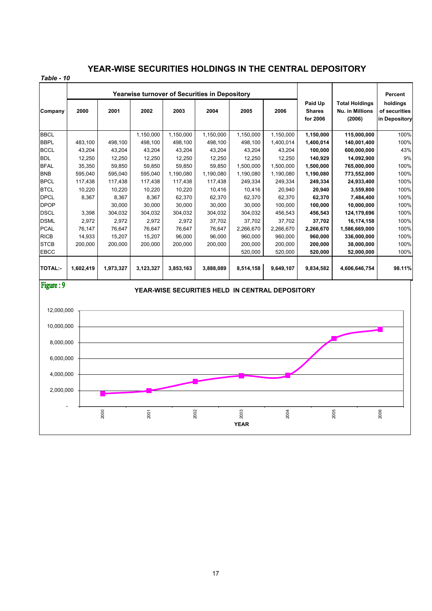### **YEAR-WISE SECURITIES HOLDINGS IN THE CENTRAL DEPOSITORY**

| Table | 10 |
|-------|----|
|-------|----|

|                |           | Yearwise turnover of Securities in Depository |           |           |                                                 |             |           |                                      |                                                    | Percent                                    |
|----------------|-----------|-----------------------------------------------|-----------|-----------|-------------------------------------------------|-------------|-----------|--------------------------------------|----------------------------------------------------|--------------------------------------------|
| Company        | 2000      | 2001                                          | 2002      | 2003      | 2004                                            | 2005        | 2006      | Paid Up<br><b>Shares</b><br>for 2006 | <b>Total Holdings</b><br>Nu. in Millions<br>(2006) | holdings<br>of securities<br>in Depository |
| <b>BBCL</b>    |           |                                               | 1,150,000 | 1,150,000 | 1,150,000                                       | 1,150,000   | 1,150,000 | 1,150,000                            | 115,000,000                                        | 100%                                       |
| <b>BBPL</b>    | 483,100   | 498,100                                       | 498,100   | 498,100   | 498,100                                         | 498,100     | 1,400,014 | 1,400,014                            | 140,001,400                                        | 100%                                       |
| <b>BCCL</b>    | 43,204    | 43,204                                        | 43,204    | 43,204    | 43,204                                          | 43,204      | 43,204    | 100,000                              | 600,000,000                                        | 43%                                        |
| <b>BDL</b>     | 12,250    | 12,250                                        | 12,250    | 12,250    | 12,250                                          | 12,250      | 12,250    | 140,929                              | 14,092,900                                         | 9%                                         |
| <b>BFAL</b>    | 35,350    | 59,850                                        | 59,850    | 59,850    | 59,850                                          | 1,500,000   | 1,500,000 | 1,500,000                            | 765,000,000                                        | 100%                                       |
| <b>BNB</b>     | 595,040   | 595,040                                       | 595,040   | 1,190,080 | 1,190,080                                       | 1,190,080   | 1,190,080 | 1,190,080                            | 773,552,000                                        | 100%                                       |
| <b>BPCL</b>    | 117,438   | 117,438                                       | 117,438   | 117,438   | 117,438                                         | 249,334     | 249,334   | 249,334                              | 24,933,400                                         | 100%                                       |
| <b>BTCL</b>    | 10,220    | 10,220                                        | 10,220    | 10,220    | 10,416                                          | 10,416      | 20,940    | 20,940                               | 3,559,800                                          | 100%                                       |
| <b>DPCL</b>    | 8,367     | 8,367                                         | 8,367     | 62,370    | 62,370                                          | 62,370      | 62,370    | 62,370                               | 7,484,400                                          | 100%                                       |
| <b>DPOP</b>    |           | 30,000                                        | 30,000    | 30,000    | 30,000                                          | 30,000      | 100,000   | 100,000                              | 10,000,000                                         | 100%                                       |
| <b>DSCL</b>    | 3,398     | 304,032                                       | 304,032   | 304,032   | 304,032                                         | 304,032     | 456,543   | 456,543                              | 124,179,696                                        | 100%                                       |
| <b>DSML</b>    | 2,972     | 2,972                                         | 2,972     | 2,972     | 37,702                                          | 37,702      | 37,702    | 37,702                               | 16,174,158                                         | 100%                                       |
| <b>PCAL</b>    | 76,147    | 76,647                                        | 76,647    | 76,647    | 76,647                                          | 2,266,670   | 2,266,670 | 2,266,670                            | 1,586,669,000                                      | 100%                                       |
| <b>RICB</b>    | 14,933    | 15,207                                        | 15,207    | 96,000    | 96,000                                          | 960,000     | 960,000   | 960,000                              | 336,000,000                                        | 100%                                       |
| <b>STCB</b>    | 200,000   | 200,000                                       | 200,000   | 200,000   | 200,000                                         | 200,000     | 200,000   | 200,000                              | 38,000,000                                         | 100%                                       |
| EBCC           |           |                                               |           |           |                                                 | 520,000     | 520,000   | 520,000                              | 52,000,000                                         | 100%                                       |
| <b>TOTAL:-</b> | 1,602,419 | 1,973,327                                     | 3,123,327 | 3,853,163 | 3,888,089                                       | 8,514,158   | 9,649,107 | 9,834,582                            | 4,606,646,754                                      | 98.11%                                     |
| Figure: 9      |           |                                               |           |           | YEAR-WISE SECURITIES HELD IN CENTRAL DEPOSITORY |             |           |                                      |                                                    |                                            |
| 12,000,000     |           |                                               |           |           |                                                 |             |           |                                      |                                                    |                                            |
|                |           |                                               |           |           |                                                 |             |           |                                      |                                                    |                                            |
| 10,000,000     |           |                                               |           |           |                                                 |             |           |                                      |                                                    |                                            |
|                |           |                                               |           |           |                                                 |             |           |                                      |                                                    |                                            |
| 8,000,000      |           |                                               |           |           |                                                 |             |           |                                      |                                                    |                                            |
|                |           |                                               |           |           |                                                 |             |           |                                      |                                                    |                                            |
| 6,000,000      |           |                                               |           |           |                                                 |             |           |                                      |                                                    |                                            |
| 4,000,000      |           |                                               |           |           |                                                 |             |           |                                      |                                                    |                                            |
|                |           |                                               |           |           |                                                 |             |           |                                      |                                                    |                                            |
| 2,000,000      |           |                                               |           |           |                                                 |             |           |                                      |                                                    |                                            |
|                |           | 2000                                          | 2001      | 2002      |                                                 | 2003        | 2004      |                                      | 2005                                               | 2006                                       |
|                |           |                                               |           |           |                                                 | <b>YEAR</b> |           |                                      |                                                    |                                            |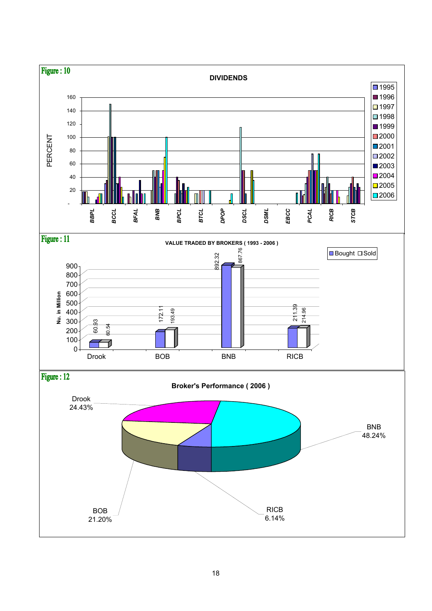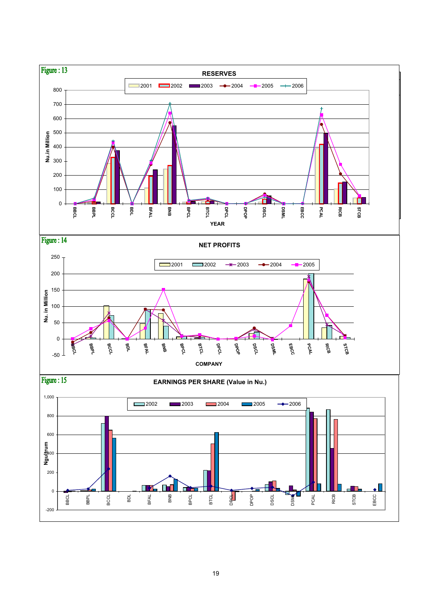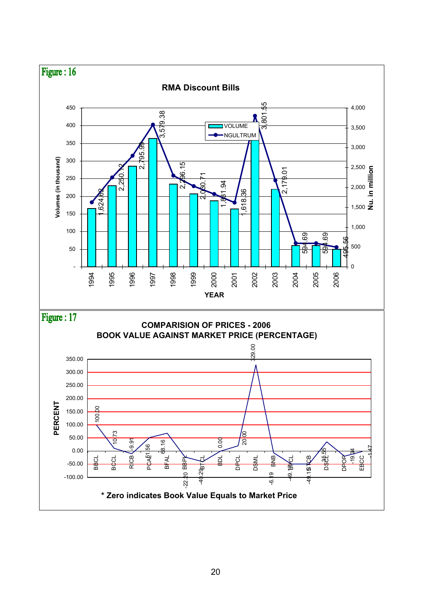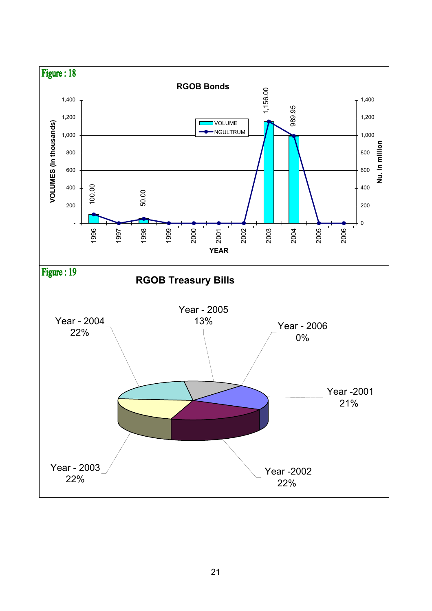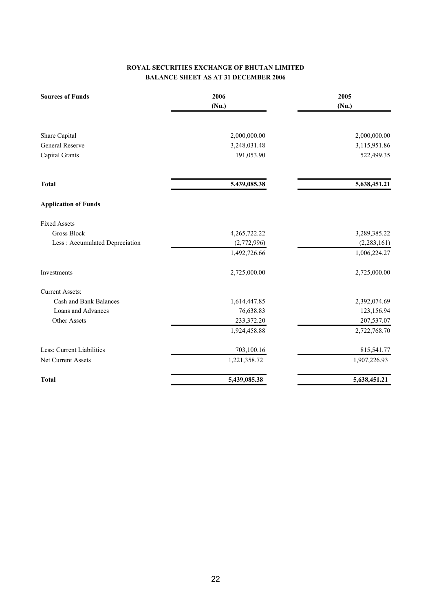#### **ROYAL SECURITIES EXCHANGE OF BHUTAN LIMITED BALANCE SHEET AS AT 31 DECEMBER 2006**

| <b>Sources of Funds</b>        | 2006<br>(Nu.) | 2005<br>(Nu.) |
|--------------------------------|---------------|---------------|
| Share Capital                  | 2,000,000.00  | 2,000,000.00  |
| <b>General Reserve</b>         | 3,248,031.48  | 3,115,951.86  |
| Capital Grants                 | 191,053.90    | 522,499.35    |
| <b>Total</b>                   | 5,439,085.38  | 5,638,451.21  |
| <b>Application of Funds</b>    |               |               |
| <b>Fixed Assets</b>            |               |               |
| <b>Gross Block</b>             | 4,265,722.22  | 3,289,385.22  |
| Less: Accumulated Depreciation | (2,772,996)   | (2,283,161)   |
|                                | 1,492,726.66  | 1,006,224.27  |
| Investments                    | 2,725,000.00  | 2,725,000.00  |
| <b>Current Assets:</b>         |               |               |
| Cash and Bank Balances         | 1,614,447.85  | 2,392,074.69  |
| Loans and Advances             | 76,638.83     | 123,156.94    |
| Other Assets                   | 233,372.20    | 207,537.07    |
|                                | 1,924,458.88  | 2,722,768.70  |
| Less: Current Liabilities      | 703,100.16    | 815,541.77    |
| Net Current Assets             | 1,221,358.72  | 1,907,226.93  |
| <b>Total</b>                   | 5,439,085.38  | 5,638,451.21  |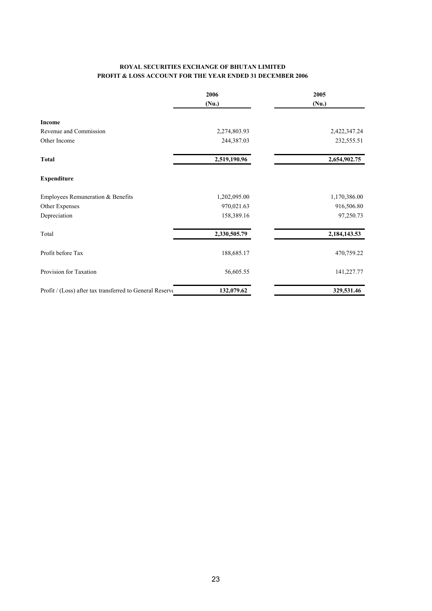#### **ROYAL SECURITIES EXCHANGE OF BHUTAN LIMITED PROFIT & LOSS ACCOUNT FOR THE YEAR ENDED 31 DECEMBER 2006**

|                                                          | 2006         | 2005            |
|----------------------------------------------------------|--------------|-----------------|
|                                                          | (Nu.)        | (Nu.)           |
| <b>Income</b>                                            |              |                 |
| Revenue and Commission                                   | 2,274,803.93 | 2,422,347.24    |
| Other Income                                             | 244,387.03   | 232,555.51      |
| <b>Total</b>                                             | 2,519,190.96 | 2,654,902.75    |
| <b>Expenditure</b>                                       |              |                 |
| Employees Remuneration & Benefits                        | 1,202,095.00 | 1,170,386.00    |
| Other Expenses                                           | 970,021.63   | 916,506.80      |
| Depreciation                                             | 158,389.16   | 97,250.73       |
| Total                                                    | 2,330,505.79 | 2, 184, 143. 53 |
| Profit before Tax                                        | 188,685.17   | 470,759.22      |
| Provision for Taxation                                   | 56,605.55    | 141,227.77      |
| Profit / (Loss) after tax transferred to General Reserve | 132,079.62   | 329,531.46      |